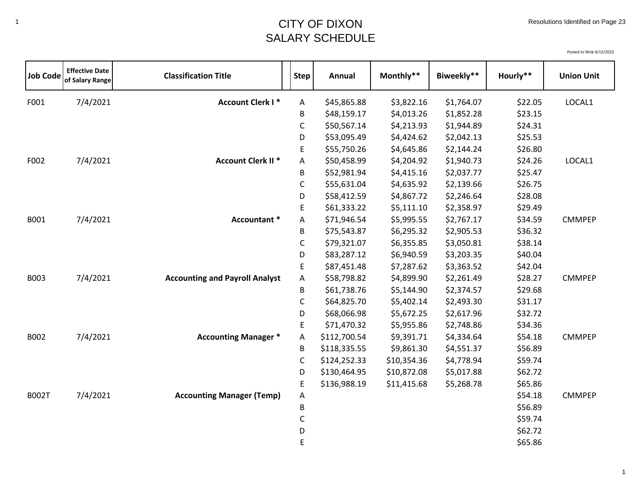## <sup>1</sup> CITY OF DIXON SALARY SCHEDULE

| <b>Job Code</b> | <b>Effective Date</b><br>of Salary Range | <b>Classification Title</b>           | <b>Step</b>  | Annual       | Monthly**   | Biweekly** | Hourly** | <b>Union Unit</b> |
|-----------------|------------------------------------------|---------------------------------------|--------------|--------------|-------------|------------|----------|-------------------|
| F001            | 7/4/2021                                 | <b>Account Clerk I*</b>               | Α            | \$45,865.88  | \$3,822.16  | \$1,764.07 | \$22.05  | LOCAL1            |
|                 |                                          |                                       | B            | \$48,159.17  | \$4,013.26  | \$1,852.28 | \$23.15  |                   |
|                 |                                          |                                       | $\mathsf C$  | \$50,567.14  | \$4,213.93  | \$1,944.89 | \$24.31  |                   |
|                 |                                          |                                       | D            | \$53,095.49  | \$4,424.62  | \$2,042.13 | \$25.53  |                   |
|                 |                                          |                                       | Е            | \$55,750.26  | \$4,645.86  | \$2,144.24 | \$26.80  |                   |
| F002            | 7/4/2021                                 | <b>Account Clerk II *</b>             | A            | \$50,458.99  | \$4,204.92  | \$1,940.73 | \$24.26  | LOCAL1            |
|                 |                                          |                                       | B            | \$52,981.94  | \$4,415.16  | \$2,037.77 | \$25.47  |                   |
|                 |                                          |                                       | C            | \$55,631.04  | \$4,635.92  | \$2,139.66 | \$26.75  |                   |
|                 |                                          |                                       | D            | \$58,412.59  | \$4,867.72  | \$2,246.64 | \$28.08  |                   |
|                 |                                          |                                       | E            | \$61,333.22  | \$5,111.10  | \$2,358.97 | \$29.49  |                   |
| B001            | 7/4/2021                                 | Accountant *                          | A            | \$71,946.54  | \$5,995.55  | \$2,767.17 | \$34.59  | <b>CMMPEP</b>     |
|                 |                                          |                                       | B            | \$75,543.87  | \$6,295.32  | \$2,905.53 | \$36.32  |                   |
|                 |                                          |                                       | $\mathsf{C}$ | \$79,321.07  | \$6,355.85  | \$3,050.81 | \$38.14  |                   |
|                 |                                          |                                       | D            | \$83,287.12  | \$6,940.59  | \$3,203.35 | \$40.04  |                   |
|                 |                                          |                                       | $\mathsf E$  | \$87,451.48  | \$7,287.62  | \$3,363.52 | \$42.04  |                   |
| <b>B003</b>     | 7/4/2021                                 | <b>Accounting and Payroll Analyst</b> | Α            | \$58,798.82  | \$4,899.90  | \$2,261.49 | \$28.27  | <b>CMMPEP</b>     |
|                 |                                          |                                       | B            | \$61,738.76  | \$5,144.90  | \$2,374.57 | \$29.68  |                   |
|                 |                                          |                                       | $\mathsf C$  | \$64,825.70  | \$5,402.14  | \$2,493.30 | \$31.17  |                   |
|                 |                                          |                                       | D            | \$68,066.98  | \$5,672.25  | \$2,617.96 | \$32.72  |                   |
|                 |                                          |                                       | E            | \$71,470.32  | \$5,955.86  | \$2,748.86 | \$34.36  |                   |
| B002            | 7/4/2021                                 | <b>Accounting Manager *</b>           | Α            | \$112,700.54 | \$9,391.71  | \$4,334.64 | \$54.18  | <b>CMMPEP</b>     |
|                 |                                          |                                       | B            | \$118,335.55 | \$9,861.30  | \$4,551.37 | \$56.89  |                   |
|                 |                                          |                                       | $\mathsf C$  | \$124,252.33 | \$10,354.36 | \$4,778.94 | \$59.74  |                   |
|                 |                                          |                                       | D            | \$130,464.95 | \$10,872.08 | \$5,017.88 | \$62.72  |                   |
|                 |                                          |                                       | E            | \$136,988.19 | \$11,415.68 | \$5,268.78 | \$65.86  |                   |
| <b>B002T</b>    | 7/4/2021                                 | <b>Accounting Manager (Temp)</b>      | Α            |              |             |            | \$54.18  | <b>CMMPEP</b>     |
|                 |                                          |                                       | B            |              |             |            | \$56.89  |                   |
|                 |                                          |                                       | C            |              |             |            | \$59.74  |                   |
|                 |                                          |                                       | D            |              |             |            | \$62.72  |                   |
|                 |                                          |                                       | E            |              |             |            | \$65.86  |                   |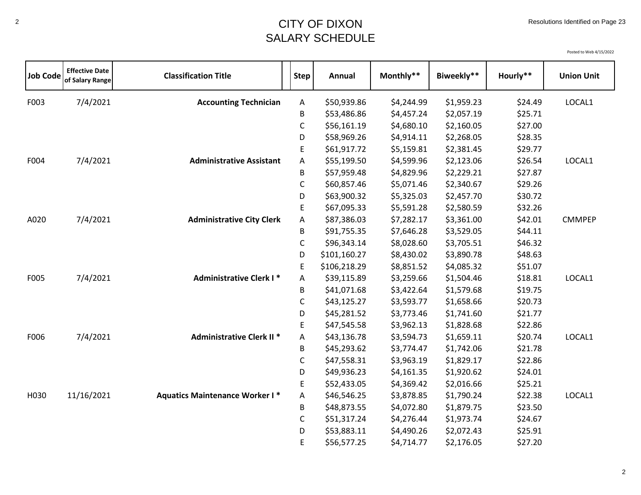## <sup>2</sup> CITY OF DIXON SALARY SCHEDULE

| <b>Job Code</b> | <b>Effective Date</b><br>of Salary Range | <b>Classification Title</b>           | <b>Step</b>  | Annual       | Monthly**  | Biweekly** | Hourly** | <b>Union Unit</b> |
|-----------------|------------------------------------------|---------------------------------------|--------------|--------------|------------|------------|----------|-------------------|
| F003            | 7/4/2021                                 | <b>Accounting Technician</b>          | A            | \$50,939.86  | \$4,244.99 | \$1,959.23 | \$24.49  | LOCAL1            |
|                 |                                          |                                       | B            | \$53,486.86  | \$4,457.24 | \$2,057.19 | \$25.71  |                   |
|                 |                                          |                                       | $\mathsf C$  | \$56,161.19  | \$4,680.10 | \$2,160.05 | \$27.00  |                   |
|                 |                                          |                                       | D            | \$58,969.26  | \$4,914.11 | \$2,268.05 | \$28.35  |                   |
|                 |                                          |                                       | E            | \$61,917.72  | \$5,159.81 | \$2,381.45 | \$29.77  |                   |
| F004            | 7/4/2021                                 | <b>Administrative Assistant</b>       | A            | \$55,199.50  | \$4,599.96 | \$2,123.06 | \$26.54  | LOCAL1            |
|                 |                                          |                                       | B            | \$57,959.48  | \$4,829.96 | \$2,229.21 | \$27.87  |                   |
|                 |                                          |                                       | C            | \$60,857.46  | \$5,071.46 | \$2,340.67 | \$29.26  |                   |
|                 |                                          |                                       | D            | \$63,900.32  | \$5,325.03 | \$2,457.70 | \$30.72  |                   |
|                 |                                          |                                       | $\mathsf E$  | \$67,095.33  | \$5,591.28 | \$2,580.59 | \$32.26  |                   |
| A020            | 7/4/2021                                 | <b>Administrative City Clerk</b>      | Α            | \$87,386.03  | \$7,282.17 | \$3,361.00 | \$42.01  | <b>CMMPEP</b>     |
|                 |                                          |                                       | В            | \$91,755.35  | \$7,646.28 | \$3,529.05 | \$44.11  |                   |
|                 |                                          |                                       | $\mathsf{C}$ | \$96,343.14  | \$8,028.60 | \$3,705.51 | \$46.32  |                   |
|                 |                                          |                                       | D            | \$101,160.27 | \$8,430.02 | \$3,890.78 | \$48.63  |                   |
|                 |                                          |                                       | E            | \$106,218.29 | \$8,851.52 | \$4,085.32 | \$51.07  |                   |
| F005            | 7/4/2021                                 | <b>Administrative Clerk I*</b>        | Α            | \$39,115.89  | \$3,259.66 | \$1,504.46 | \$18.81  | LOCAL1            |
|                 |                                          |                                       | B            | \$41,071.68  | \$3,422.64 | \$1,579.68 | \$19.75  |                   |
|                 |                                          |                                       | $\mathsf C$  | \$43,125.27  | \$3,593.77 | \$1,658.66 | \$20.73  |                   |
|                 |                                          |                                       | D            | \$45,281.52  | \$3,773.46 | \$1,741.60 | \$21.77  |                   |
|                 |                                          |                                       | E            | \$47,545.58  | \$3,962.13 | \$1,828.68 | \$22.86  |                   |
| F006            | 7/4/2021                                 | <b>Administrative Clerk II *</b>      | A            | \$43,136.78  | \$3,594.73 | \$1,659.11 | \$20.74  | LOCAL1            |
|                 |                                          |                                       | B            | \$45,293.62  | \$3,774.47 | \$1,742.06 | \$21.78  |                   |
|                 |                                          |                                       | C            | \$47,558.31  | \$3,963.19 | \$1,829.17 | \$22.86  |                   |
|                 |                                          |                                       | D            | \$49,936.23  | \$4,161.35 | \$1,920.62 | \$24.01  |                   |
|                 |                                          |                                       | E            | \$52,433.05  | \$4,369.42 | \$2,016.66 | \$25.21  |                   |
| H030            | 11/16/2021                               | <b>Aquatics Maintenance Worker I*</b> | Α            | \$46,546.25  | \$3,878.85 | \$1,790.24 | \$22.38  | LOCAL1            |
|                 |                                          |                                       | В            | \$48,873.55  | \$4,072.80 | \$1,879.75 | \$23.50  |                   |
|                 |                                          |                                       | C            | \$51,317.24  | \$4,276.44 | \$1,973.74 | \$24.67  |                   |
|                 |                                          |                                       | D            | \$53,883.11  | \$4,490.26 | \$2,072.43 | \$25.91  |                   |
|                 |                                          |                                       | E            | \$56,577.25  | \$4,714.77 | \$2,176.05 | \$27.20  |                   |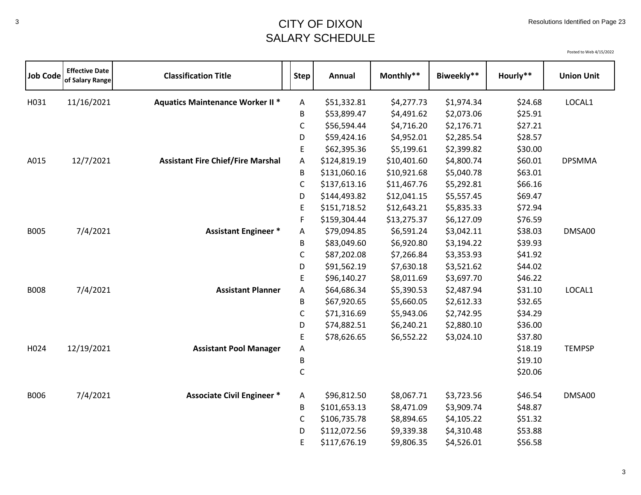## <sup>3</sup> CITY OF DIXON SALARY SCHEDULE

| <b>Job Code</b> | <b>Effective Date</b><br>of Salary Range | <b>Classification Title</b>              | <b>Step</b> | Annual       | Monthly**   | Biweekly** | Hourly** | <b>Union Unit</b> |
|-----------------|------------------------------------------|------------------------------------------|-------------|--------------|-------------|------------|----------|-------------------|
| H031            | 11/16/2021                               | <b>Aquatics Maintenance Worker II *</b>  | Α           | \$51,332.81  | \$4,277.73  | \$1,974.34 | \$24.68  | LOCAL1            |
|                 |                                          |                                          | B           | \$53,899.47  | \$4,491.62  | \$2,073.06 | \$25.91  |                   |
|                 |                                          |                                          | C           | \$56,594.44  | \$4,716.20  | \$2,176.71 | \$27.21  |                   |
|                 |                                          |                                          | D           | \$59,424.16  | \$4,952.01  | \$2,285.54 | \$28.57  |                   |
|                 |                                          |                                          | E           | \$62,395.36  | \$5,199.61  | \$2,399.82 | \$30.00  |                   |
| A015            | 12/7/2021                                | <b>Assistant Fire Chief/Fire Marshal</b> | Α           | \$124,819.19 | \$10,401.60 | \$4,800.74 | \$60.01  | <b>DPSMMA</b>     |
|                 |                                          |                                          | B           | \$131,060.16 | \$10,921.68 | \$5,040.78 | \$63.01  |                   |
|                 |                                          |                                          | С           | \$137,613.16 | \$11,467.76 | \$5,292.81 | \$66.16  |                   |
|                 |                                          |                                          | D           | \$144,493.82 | \$12,041.15 | \$5,557.45 | \$69.47  |                   |
|                 |                                          |                                          | E.          | \$151,718.52 | \$12,643.21 | \$5,835.33 | \$72.94  |                   |
|                 |                                          |                                          | F           | \$159,304.44 | \$13,275.37 | \$6,127.09 | \$76.59  |                   |
| <b>B005</b>     | 7/4/2021                                 | <b>Assistant Engineer *</b>              | Α           | \$79,094.85  | \$6,591.24  | \$3,042.11 | \$38.03  | DMSA00            |
|                 |                                          |                                          | B           | \$83,049.60  | \$6,920.80  | \$3,194.22 | \$39.93  |                   |
|                 |                                          |                                          | C           | \$87,202.08  | \$7,266.84  | \$3,353.93 | \$41.92  |                   |
|                 |                                          |                                          | D           | \$91,562.19  | \$7,630.18  | \$3,521.62 | \$44.02  |                   |
|                 |                                          |                                          | E           | \$96,140.27  | \$8,011.69  | \$3,697.70 | \$46.22  |                   |
| <b>B008</b>     | 7/4/2021                                 | <b>Assistant Planner</b>                 | Α           | \$64,686.34  | \$5,390.53  | \$2,487.94 | \$31.10  | LOCAL1            |
|                 |                                          |                                          | B           | \$67,920.65  | \$5,660.05  | \$2,612.33 | \$32.65  |                   |
|                 |                                          |                                          | C           | \$71,316.69  | \$5,943.06  | \$2,742.95 | \$34.29  |                   |
|                 |                                          |                                          | D           | \$74,882.51  | \$6,240.21  | \$2,880.10 | \$36.00  |                   |
|                 |                                          |                                          | E.          | \$78,626.65  | \$6,552.22  | \$3,024.10 | \$37.80  |                   |
| H024            | 12/19/2021                               | <b>Assistant Pool Manager</b>            | Α           |              |             |            | \$18.19  | <b>TEMPSP</b>     |
|                 |                                          |                                          | B           |              |             |            | \$19.10  |                   |
|                 |                                          |                                          | C           |              |             |            | \$20.06  |                   |
| <b>B006</b>     | 7/4/2021                                 | <b>Associate Civil Engineer *</b>        | A           | \$96,812.50  | \$8,067.71  | \$3,723.56 | \$46.54  | DMSA00            |
|                 |                                          |                                          | В           | \$101,653.13 | \$8,471.09  | \$3,909.74 | \$48.87  |                   |
|                 |                                          |                                          | C           | \$106,735.78 | \$8,894.65  | \$4,105.22 | \$51.32  |                   |
|                 |                                          |                                          | D           | \$112,072.56 | \$9,339.38  | \$4,310.48 | \$53.88  |                   |
|                 |                                          |                                          | E           | \$117,676.19 | \$9,806.35  | \$4,526.01 | \$56.58  |                   |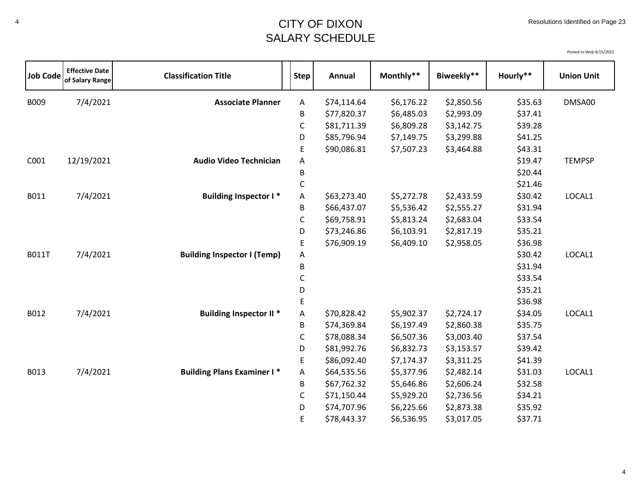## <sup>4</sup> CITY OF DIXON SALARY SCHEDULE

| <b>Job Code</b> | <b>Effective Date</b><br>of Salary Range | <b>Classification Title</b>        | <b>Step</b> | Annual      | Monthly**  | Biweekly** | Hourly** | <b>Union Unit</b> |
|-----------------|------------------------------------------|------------------------------------|-------------|-------------|------------|------------|----------|-------------------|
| B009            | 7/4/2021                                 | <b>Associate Planner</b>           | Α           | \$74,114.64 | \$6,176.22 | \$2,850.56 | \$35.63  | DMSA00            |
|                 |                                          |                                    | B           | \$77,820.37 | \$6,485.03 | \$2,993.09 | \$37.41  |                   |
|                 |                                          |                                    | $\mathsf C$ | \$81,711.39 | \$6,809.28 | \$3,142.75 | \$39.28  |                   |
|                 |                                          |                                    | D           | \$85,796.94 | \$7,149.75 | \$3,299.88 | \$41.25  |                   |
|                 |                                          |                                    | E           | \$90,086.81 | \$7,507.23 | \$3,464.88 | \$43.31  |                   |
| C001            | 12/19/2021                               | <b>Audio Video Technician</b>      | Α           |             |            |            | \$19.47  | <b>TEMPSP</b>     |
|                 |                                          |                                    | B           |             |            |            | \$20.44  |                   |
|                 |                                          |                                    | С           |             |            |            | \$21.46  |                   |
| B011            | 7/4/2021                                 | <b>Building Inspector I*</b>       | Α           | \$63,273.40 | \$5,272.78 | \$2,433.59 | \$30.42  | LOCAL1            |
|                 |                                          |                                    | B           | \$66,437.07 | \$5,536.42 | \$2,555.27 | \$31.94  |                   |
|                 |                                          |                                    | C           | \$69,758.91 | \$5,813.24 | \$2,683.04 | \$33.54  |                   |
|                 |                                          |                                    | D           | \$73,246.86 | \$6,103.91 | \$2,817.19 | \$35.21  |                   |
|                 |                                          |                                    | E           | \$76,909.19 | \$6,409.10 | \$2,958.05 | \$36.98  |                   |
| <b>B011T</b>    | 7/4/2021                                 | <b>Building Inspector I (Temp)</b> | A           |             |            |            | \$30.42  | LOCAL1            |
|                 |                                          |                                    | B           |             |            |            | \$31.94  |                   |
|                 |                                          |                                    | С           |             |            |            | \$33.54  |                   |
|                 |                                          |                                    | D           |             |            |            | \$35.21  |                   |
|                 |                                          |                                    | E           |             |            |            | \$36.98  |                   |
| B012            | 7/4/2021                                 | <b>Building Inspector II *</b>     | A           | \$70,828.42 | \$5,902.37 | \$2,724.17 | \$34.05  | LOCAL1            |
|                 |                                          |                                    | B           | \$74,369.84 | \$6,197.49 | \$2,860.38 | \$35.75  |                   |
|                 |                                          |                                    | C           | \$78,088.34 | \$6,507.36 | \$3,003.40 | \$37.54  |                   |
|                 |                                          |                                    | D           | \$81,992.76 | \$6,832.73 | \$3,153.57 | \$39.42  |                   |
|                 |                                          |                                    | E           | \$86,092.40 | \$7,174.37 | \$3,311.25 | \$41.39  |                   |
| B013            | 7/4/2021                                 | <b>Building Plans Examiner I*</b>  | A           | \$64,535.56 | \$5,377.96 | \$2,482.14 | \$31.03  | LOCAL1            |
|                 |                                          |                                    | B           | \$67,762.32 | \$5,646.86 | \$2,606.24 | \$32.58  |                   |
|                 |                                          |                                    | С           | \$71,150.44 | \$5,929.20 | \$2,736.56 | \$34.21  |                   |
|                 |                                          |                                    | D           | \$74,707.96 | \$6,225.66 | \$2,873.38 | \$35.92  |                   |
|                 |                                          |                                    | E           | \$78,443.37 | \$6,536.95 | \$3,017.05 | \$37.71  |                   |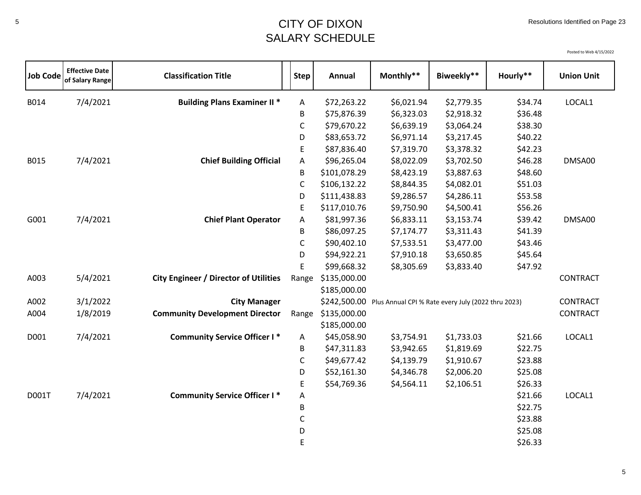## <sup>5</sup> CITY OF DIXON SALARY SCHEDULE

| <b>Job Code</b> | <b>Effective Date</b><br>of Salary Range | <b>Classification Title</b>                  | <b>Step</b> | Annual       | Monthly**                                                       | Biweekly** | Hourly** | <b>Union Unit</b> |
|-----------------|------------------------------------------|----------------------------------------------|-------------|--------------|-----------------------------------------------------------------|------------|----------|-------------------|
| B014            | 7/4/2021                                 | <b>Building Plans Examiner II *</b>          | Α           | \$72,263.22  | \$6,021.94                                                      | \$2,779.35 | \$34.74  | LOCAL1            |
|                 |                                          |                                              | В           | \$75,876.39  | \$6,323.03                                                      | \$2,918.32 | \$36.48  |                   |
|                 |                                          |                                              | C           | \$79,670.22  | \$6,639.19                                                      | \$3,064.24 | \$38.30  |                   |
|                 |                                          |                                              | D           | \$83,653.72  | \$6,971.14                                                      | \$3,217.45 | \$40.22  |                   |
|                 |                                          |                                              | E           | \$87,836.40  | \$7,319.70                                                      | \$3,378.32 | \$42.23  |                   |
| B015            | 7/4/2021                                 | <b>Chief Building Official</b>               | Α           | \$96,265.04  | \$8,022.09                                                      | \$3,702.50 | \$46.28  | DMSA00            |
|                 |                                          |                                              | В           | \$101,078.29 | \$8,423.19                                                      | \$3,887.63 | \$48.60  |                   |
|                 |                                          |                                              | C           | \$106,132.22 | \$8,844.35                                                      | \$4,082.01 | \$51.03  |                   |
|                 |                                          |                                              | D           | \$111,438.83 | \$9,286.57                                                      | \$4,286.11 | \$53.58  |                   |
|                 |                                          |                                              | E           | \$117,010.76 | \$9,750.90                                                      | \$4,500.41 | \$56.26  |                   |
| G001            | 7/4/2021                                 | <b>Chief Plant Operator</b>                  | Α           | \$81,997.36  | \$6,833.11                                                      | \$3,153.74 | \$39.42  | DMSA00            |
|                 |                                          |                                              | B           | \$86,097.25  | \$7,174.77                                                      | \$3,311.43 | \$41.39  |                   |
|                 |                                          |                                              | C           | \$90,402.10  | \$7,533.51                                                      | \$3,477.00 | \$43.46  |                   |
|                 |                                          |                                              | D           | \$94,922.21  | \$7,910.18                                                      | \$3,650.85 | \$45.64  |                   |
|                 |                                          |                                              | E           | \$99,668.32  | \$8,305.69                                                      | \$3,833.40 | \$47.92  |                   |
| A003            | 5/4/2021                                 | <b>City Engineer / Director of Utilities</b> | Range       | \$135,000.00 |                                                                 |            |          | <b>CONTRACT</b>   |
|                 |                                          |                                              |             | \$185,000.00 |                                                                 |            |          |                   |
| A002            | 3/1/2022                                 | <b>City Manager</b>                          |             |              | \$242,500.00 Plus Annual CPI % Rate every July (2022 thru 2023) |            |          | <b>CONTRACT</b>   |
| A004            | 1/8/2019                                 | <b>Community Development Director</b>        | Range       | \$135,000.00 |                                                                 |            |          | CONTRACT          |
|                 |                                          |                                              |             | \$185,000.00 |                                                                 |            |          |                   |
| D001            | 7/4/2021                                 | <b>Community Service Officer I*</b>          | A           | \$45,058.90  | \$3,754.91                                                      | \$1,733.03 | \$21.66  | LOCAL1            |
|                 |                                          |                                              | B           | \$47,311.83  | \$3,942.65                                                      | \$1,819.69 | \$22.75  |                   |
|                 |                                          |                                              | С           | \$49,677.42  | \$4,139.79                                                      | \$1,910.67 | \$23.88  |                   |
|                 |                                          |                                              | D           | \$52,161.30  | \$4,346.78                                                      | \$2,006.20 | \$25.08  |                   |
|                 |                                          |                                              | E           | \$54,769.36  | \$4,564.11                                                      | \$2,106.51 | \$26.33  |                   |
| D001T           | 7/4/2021                                 | <b>Community Service Officer I*</b>          | Α           |              |                                                                 |            | \$21.66  | LOCAL1            |
|                 |                                          |                                              | В           |              |                                                                 |            | \$22.75  |                   |
|                 |                                          |                                              | C           |              |                                                                 |            | \$23.88  |                   |
|                 |                                          |                                              | D           |              |                                                                 |            | \$25.08  |                   |
|                 |                                          |                                              | E           |              |                                                                 |            | \$26.33  |                   |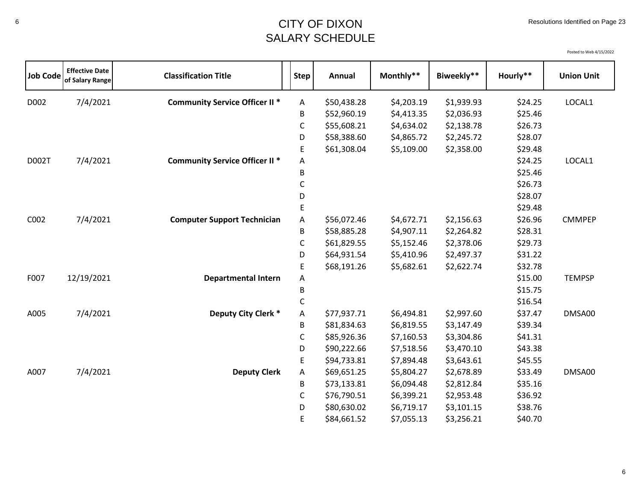## <sup>6</sup> CITY OF DIXON SALARY SCHEDULE

| <b>Job Code</b> | <b>Effective Date</b><br>of Salary Range | <b>Classification Title</b>           | <b>Step</b>               | Annual      | Monthly**  | Biweekly** | Hourly** | <b>Union Unit</b> |
|-----------------|------------------------------------------|---------------------------------------|---------------------------|-------------|------------|------------|----------|-------------------|
| D002            | 7/4/2021                                 | <b>Community Service Officer II *</b> | $\boldsymbol{\mathsf{A}}$ | \$50,438.28 | \$4,203.19 | \$1,939.93 | \$24.25  | LOCAL1            |
|                 |                                          |                                       | В                         | \$52,960.19 | \$4,413.35 | \$2,036.93 | \$25.46  |                   |
|                 |                                          |                                       | C                         | \$55,608.21 | \$4,634.02 | \$2,138.78 | \$26.73  |                   |
|                 |                                          |                                       | D                         | \$58,388.60 | \$4,865.72 | \$2,245.72 | \$28.07  |                   |
|                 |                                          |                                       | E                         | \$61,308.04 | \$5,109.00 | \$2,358.00 | \$29.48  |                   |
| D002T           | 7/4/2021                                 | <b>Community Service Officer II *</b> | Α                         |             |            |            | \$24.25  | LOCAL1            |
|                 |                                          |                                       | В                         |             |            |            | \$25.46  |                   |
|                 |                                          |                                       | C                         |             |            |            | \$26.73  |                   |
|                 |                                          |                                       | D                         |             |            |            | \$28.07  |                   |
|                 |                                          |                                       | E                         |             |            |            | \$29.48  |                   |
| C002            | 7/4/2021                                 | <b>Computer Support Technician</b>    | Α                         | \$56,072.46 | \$4,672.71 | \$2,156.63 | \$26.96  | <b>CMMPEP</b>     |
|                 |                                          |                                       | B                         | \$58,885.28 | \$4,907.11 | \$2,264.82 | \$28.31  |                   |
|                 |                                          |                                       | $\mathsf C$               | \$61,829.55 | \$5,152.46 | \$2,378.06 | \$29.73  |                   |
|                 |                                          |                                       | D                         | \$64,931.54 | \$5,410.96 | \$2,497.37 | \$31.22  |                   |
|                 |                                          |                                       | E                         | \$68,191.26 | \$5,682.61 | \$2,622.74 | \$32.78  |                   |
| F007            | 12/19/2021                               | <b>Departmental Intern</b>            | А                         |             |            |            | \$15.00  | <b>TEMPSP</b>     |
|                 |                                          |                                       | B                         |             |            |            | \$15.75  |                   |
|                 |                                          |                                       | C                         |             |            |            | \$16.54  |                   |
| A005            | 7/4/2021                                 | Deputy City Clerk *                   | Α                         | \$77,937.71 | \$6,494.81 | \$2,997.60 | \$37.47  | DMSA00            |
|                 |                                          |                                       | B                         | \$81,834.63 | \$6,819.55 | \$3,147.49 | \$39.34  |                   |
|                 |                                          |                                       | C                         | \$85,926.36 | \$7,160.53 | \$3,304.86 | \$41.31  |                   |
|                 |                                          |                                       | D                         | \$90,222.66 | \$7,518.56 | \$3,470.10 | \$43.38  |                   |
|                 |                                          |                                       | $\mathsf E$               | \$94,733.81 | \$7,894.48 | \$3,643.61 | \$45.55  |                   |
| A007            | 7/4/2021                                 | <b>Deputy Clerk</b>                   | Α                         | \$69,651.25 | \$5,804.27 | \$2,678.89 | \$33.49  | DMSA00            |
|                 |                                          |                                       | В                         | \$73,133.81 | \$6,094.48 | \$2,812.84 | \$35.16  |                   |
|                 |                                          |                                       | C                         | \$76,790.51 | \$6,399.21 | \$2,953.48 | \$36.92  |                   |
|                 |                                          |                                       | D                         | \$80,630.02 | \$6,719.17 | \$3,101.15 | \$38.76  |                   |
|                 |                                          |                                       | E                         | \$84,661.52 | \$7,055.13 | \$3,256.21 | \$40.70  |                   |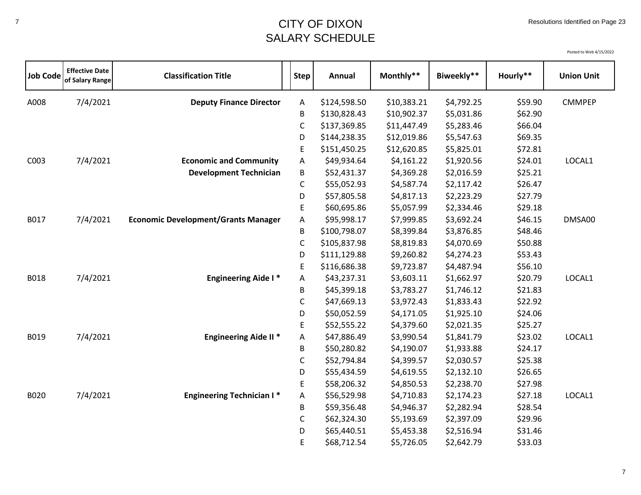# <sup>7</sup> CITY OF DIXON SALARY SCHEDULE

| <b>Job Code</b> | <b>Effective Date</b><br>of Salary Range | <b>Classification Title</b>                | <b>Step</b> | <b>Annual</b> | Monthly**   | Biweekly** | Hourly** | <b>Union Unit</b> |
|-----------------|------------------------------------------|--------------------------------------------|-------------|---------------|-------------|------------|----------|-------------------|
| A008            | 7/4/2021                                 | <b>Deputy Finance Director</b>             | Α           | \$124,598.50  | \$10,383.21 | \$4,792.25 | \$59.90  | <b>CMMPEP</b>     |
|                 |                                          |                                            | B           | \$130,828.43  | \$10,902.37 | \$5,031.86 | \$62.90  |                   |
|                 |                                          |                                            | C           | \$137,369.85  | \$11,447.49 | \$5,283.46 | \$66.04  |                   |
|                 |                                          |                                            | D           | \$144,238.35  | \$12,019.86 | \$5,547.63 | \$69.35  |                   |
|                 |                                          |                                            | E           | \$151,450.25  | \$12,620.85 | \$5,825.01 | \$72.81  |                   |
| C003            | 7/4/2021                                 | <b>Economic and Community</b>              | Α           | \$49,934.64   | \$4,161.22  | \$1,920.56 | \$24.01  | LOCAL1            |
|                 |                                          | <b>Development Technician</b>              | B           | \$52,431.37   | \$4,369.28  | \$2,016.59 | \$25.21  |                   |
|                 |                                          |                                            | $\mathsf C$ | \$55,052.93   | \$4,587.74  | \$2,117.42 | \$26.47  |                   |
|                 |                                          |                                            | D           | \$57,805.58   | \$4,817.13  | \$2,223.29 | \$27.79  |                   |
|                 |                                          |                                            | E           | \$60,695.86   | \$5,057.99  | \$2,334.46 | \$29.18  |                   |
| B017            | 7/4/2021                                 | <b>Economic Development/Grants Manager</b> | Α           | \$95,998.17   | \$7,999.85  | \$3,692.24 | \$46.15  | DMSA00            |
|                 |                                          |                                            | B           | \$100,798.07  | \$8,399.84  | \$3,876.85 | \$48.46  |                   |
|                 |                                          |                                            | $\mathsf C$ | \$105,837.98  | \$8,819.83  | \$4,070.69 | \$50.88  |                   |
|                 |                                          |                                            | D           | \$111,129.88  | \$9,260.82  | \$4,274.23 | \$53.43  |                   |
|                 |                                          |                                            | E           | \$116,686.38  | \$9,723.87  | \$4,487.94 | \$56.10  |                   |
| <b>B018</b>     | 7/4/2021                                 | <b>Engineering Aide I*</b>                 | Α           | \$43,237.31   | \$3,603.11  | \$1,662.97 | \$20.79  | LOCAL1            |
|                 |                                          |                                            | В           | \$45,399.18   | \$3,783.27  | \$1,746.12 | \$21.83  |                   |
|                 |                                          |                                            | $\mathsf C$ | \$47,669.13   | \$3,972.43  | \$1,833.43 | \$22.92  |                   |
|                 |                                          |                                            | D           | \$50,052.59   | \$4,171.05  | \$1,925.10 | \$24.06  |                   |
|                 |                                          |                                            | E           | \$52,555.22   | \$4,379.60  | \$2,021.35 | \$25.27  |                   |
| B019            | 7/4/2021                                 | <b>Engineering Aide II *</b>               | Α           | \$47,886.49   | \$3,990.54  | \$1,841.79 | \$23.02  | LOCAL1            |
|                 |                                          |                                            | В           | \$50,280.82   | \$4,190.07  | \$1,933.88 | \$24.17  |                   |
|                 |                                          |                                            | C           | \$52,794.84   | \$4,399.57  | \$2,030.57 | \$25.38  |                   |
|                 |                                          |                                            | D           | \$55,434.59   | \$4,619.55  | \$2,132.10 | \$26.65  |                   |
|                 |                                          |                                            | E           | \$58,206.32   | \$4,850.53  | \$2,238.70 | \$27.98  |                   |
| B020            | 7/4/2021                                 | <b>Engineering Technician I*</b>           | Α           | \$56,529.98   | \$4,710.83  | \$2,174.23 | \$27.18  | LOCAL1            |
|                 |                                          |                                            | B           | \$59,356.48   | \$4,946.37  | \$2,282.94 | \$28.54  |                   |
|                 |                                          |                                            | C           | \$62,324.30   | \$5,193.69  | \$2,397.09 | \$29.96  |                   |
|                 |                                          |                                            | D           | \$65,440.51   | \$5,453.38  | \$2,516.94 | \$31.46  |                   |
|                 |                                          |                                            | E           | \$68,712.54   | \$5,726.05  | \$2,642.79 | \$33.03  |                   |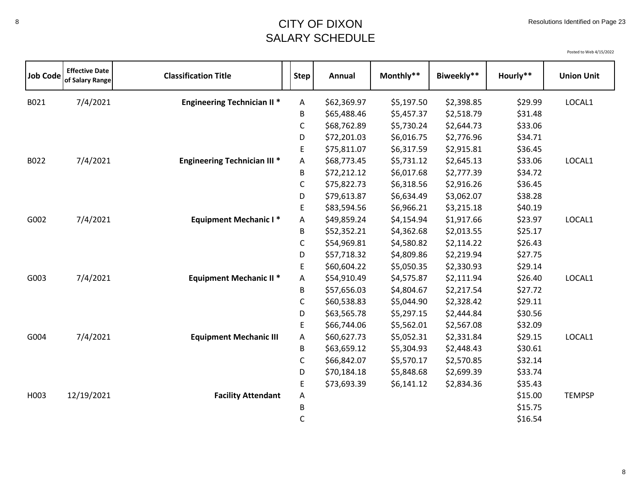| <b>Job Code</b> | <b>Effective Date</b><br>of Salary Range | <b>Classification Title</b>         | <b>Step</b> | Annual      | Monthly**  | Biweekly** | Hourly** | <b>Union Unit</b> |
|-----------------|------------------------------------------|-------------------------------------|-------------|-------------|------------|------------|----------|-------------------|
| B021            | 7/4/2021                                 | <b>Engineering Technician II *</b>  | Α           | \$62,369.97 | \$5,197.50 | \$2,398.85 | \$29.99  | LOCAL1            |
|                 |                                          |                                     | В           | \$65,488.46 | \$5,457.37 | \$2,518.79 | \$31.48  |                   |
|                 |                                          |                                     | $\mathsf C$ | \$68,762.89 | \$5,730.24 | \$2,644.73 | \$33.06  |                   |
|                 |                                          |                                     | D           | \$72,201.03 | \$6,016.75 | \$2,776.96 | \$34.71  |                   |
|                 |                                          |                                     | E           | \$75,811.07 | \$6,317.59 | \$2,915.81 | \$36.45  |                   |
| B022            | 7/4/2021                                 | <b>Engineering Technician III *</b> | Α           | \$68,773.45 | \$5,731.12 | \$2,645.13 | \$33.06  | LOCAL1            |
|                 |                                          |                                     | В           | \$72,212.12 | \$6,017.68 | \$2,777.39 | \$34.72  |                   |
|                 |                                          |                                     | $\mathsf C$ | \$75,822.73 | \$6,318.56 | \$2,916.26 | \$36.45  |                   |
|                 |                                          |                                     | D           | \$79,613.87 | \$6,634.49 | \$3,062.07 | \$38.28  |                   |
|                 |                                          |                                     | E           | \$83,594.56 | \$6,966.21 | \$3,215.18 | \$40.19  |                   |
| G002            | 7/4/2021                                 | <b>Equipment Mechanic I*</b>        | Α           | \$49,859.24 | \$4,154.94 | \$1,917.66 | \$23.97  | LOCAL1            |
|                 |                                          |                                     | В           | \$52,352.21 | \$4,362.68 | \$2,013.55 | \$25.17  |                   |
|                 |                                          |                                     | C           | \$54,969.81 | \$4,580.82 | \$2,114.22 | \$26.43  |                   |
|                 |                                          |                                     | D           | \$57,718.32 | \$4,809.86 | \$2,219.94 | \$27.75  |                   |
|                 |                                          |                                     | E           | \$60,604.22 | \$5,050.35 | \$2,330.93 | \$29.14  |                   |
| G003            | 7/4/2021                                 | <b>Equipment Mechanic II *</b>      | Α           | \$54,910.49 | \$4,575.87 | \$2,111.94 | \$26.40  | LOCAL1            |
|                 |                                          |                                     | В           | \$57,656.03 | \$4,804.67 | \$2,217.54 | \$27.72  |                   |
|                 |                                          |                                     | $\mathsf C$ | \$60,538.83 | \$5,044.90 | \$2,328.42 | \$29.11  |                   |
|                 |                                          |                                     | D           | \$63,565.78 | \$5,297.15 | \$2,444.84 | \$30.56  |                   |
|                 |                                          |                                     | $\mathsf E$ | \$66,744.06 | \$5,562.01 | \$2,567.08 | \$32.09  |                   |
| G004            | 7/4/2021                                 | <b>Equipment Mechanic III</b>       | Α           | \$60,627.73 | \$5,052.31 | \$2,331.84 | \$29.15  | LOCAL1            |
|                 |                                          |                                     | B           | \$63,659.12 | \$5,304.93 | \$2,448.43 | \$30.61  |                   |
|                 |                                          |                                     | C           | \$66,842.07 | \$5,570.17 | \$2,570.85 | \$32.14  |                   |
|                 |                                          |                                     | D           | \$70,184.18 | \$5,848.68 | \$2,699.39 | \$33.74  |                   |
|                 |                                          |                                     | E           | \$73,693.39 | \$6,141.12 | \$2,834.36 | \$35.43  |                   |
| H003            | 12/19/2021                               | <b>Facility Attendant</b>           | Α           |             |            |            | \$15.00  | <b>TEMPSP</b>     |
|                 |                                          |                                     | B           |             |            |            | \$15.75  |                   |
|                 |                                          |                                     | C           |             |            |            | \$16.54  |                   |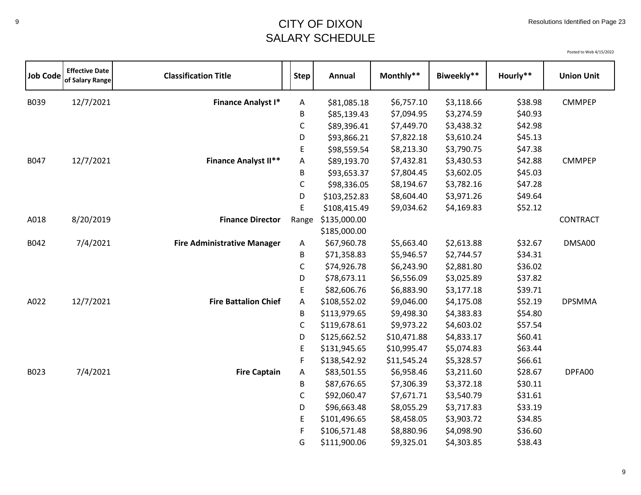## <sup>9</sup> CITY OF DIXON SALARY SCHEDULE

| <b>Job Code</b> | <b>Effective Date</b><br>of Salary Range | <b>Classification Title</b>        | <b>Step</b> | Annual       | Monthly**   | Biweekly** | Hourly** | <b>Union Unit</b> |
|-----------------|------------------------------------------|------------------------------------|-------------|--------------|-------------|------------|----------|-------------------|
| B039            | 12/7/2021                                | <b>Finance Analyst I*</b>          | A           | \$81,085.18  | \$6,757.10  | \$3,118.66 | \$38.98  | <b>CMMPEP</b>     |
|                 |                                          |                                    | B           | \$85,139.43  | \$7,094.95  | \$3,274.59 | \$40.93  |                   |
|                 |                                          |                                    | C           | \$89,396.41  | \$7,449.70  | \$3,438.32 | \$42.98  |                   |
|                 |                                          |                                    | D           | \$93,866.21  | \$7,822.18  | \$3,610.24 | \$45.13  |                   |
|                 |                                          |                                    | E           | \$98,559.54  | \$8,213.30  | \$3,790.75 | \$47.38  |                   |
| B047            | 12/7/2021                                | <b>Finance Analyst II**</b>        | Α           | \$89,193.70  | \$7,432.81  | \$3,430.53 | \$42.88  | <b>CMMPEP</b>     |
|                 |                                          |                                    | B           | \$93,653.37  | \$7,804.45  | \$3,602.05 | \$45.03  |                   |
|                 |                                          |                                    | C           | \$98,336.05  | \$8,194.67  | \$3,782.16 | \$47.28  |                   |
|                 |                                          |                                    | D           | \$103,252.83 | \$8,604.40  | \$3,971.26 | \$49.64  |                   |
|                 |                                          |                                    | E           | \$108,415.49 | \$9,034.62  | \$4,169.83 | \$52.12  |                   |
| A018            | 8/20/2019                                | <b>Finance Director</b>            | Range       | \$135,000.00 |             |            |          | <b>CONTRACT</b>   |
|                 |                                          |                                    |             | \$185,000.00 |             |            |          |                   |
| B042            | 7/4/2021                                 | <b>Fire Administrative Manager</b> | Α           | \$67,960.78  | \$5,663.40  | \$2,613.88 | \$32.67  | DMSA00            |
|                 |                                          |                                    | B           | \$71,358.83  | \$5,946.57  | \$2,744.57 | \$34.31  |                   |
|                 |                                          |                                    | $\mathsf C$ | \$74,926.78  | \$6,243.90  | \$2,881.80 | \$36.02  |                   |
|                 |                                          |                                    | D           | \$78,673.11  | \$6,556.09  | \$3,025.89 | \$37.82  |                   |
|                 |                                          |                                    | E           | \$82,606.76  | \$6,883.90  | \$3,177.18 | \$39.71  |                   |
| A022            | 12/7/2021                                | <b>Fire Battalion Chief</b>        | $\mathsf A$ | \$108,552.02 | \$9,046.00  | \$4,175.08 | \$52.19  | <b>DPSMMA</b>     |
|                 |                                          |                                    | B           | \$113,979.65 | \$9,498.30  | \$4,383.83 | \$54.80  |                   |
|                 |                                          |                                    | C           | \$119,678.61 | \$9,973.22  | \$4,603.02 | \$57.54  |                   |
|                 |                                          |                                    | D           | \$125,662.52 | \$10,471.88 | \$4,833.17 | \$60.41  |                   |
|                 |                                          |                                    | E           | \$131,945.65 | \$10,995.47 | \$5,074.83 | \$63.44  |                   |
|                 |                                          |                                    | F           | \$138,542.92 | \$11,545.24 | \$5,328.57 | \$66.61  |                   |
| B023            | 7/4/2021                                 | <b>Fire Captain</b>                | Α           | \$83,501.55  | \$6,958.46  | \$3,211.60 | \$28.67  | DPFA00            |
|                 |                                          |                                    | В           | \$87,676.65  | \$7,306.39  | \$3,372.18 | \$30.11  |                   |
|                 |                                          |                                    | C           | \$92,060.47  | \$7,671.71  | \$3,540.79 | \$31.61  |                   |
|                 |                                          |                                    | D           | \$96,663.48  | \$8,055.29  | \$3,717.83 | \$33.19  |                   |
|                 |                                          |                                    | E           | \$101,496.65 | \$8,458.05  | \$3,903.72 | \$34.85  |                   |
|                 |                                          |                                    | F           | \$106,571.48 | \$8,880.96  | \$4,098.90 | \$36.60  |                   |
|                 |                                          |                                    | G           | \$111,900.06 | \$9,325.01  | \$4,303.85 | \$38.43  |                   |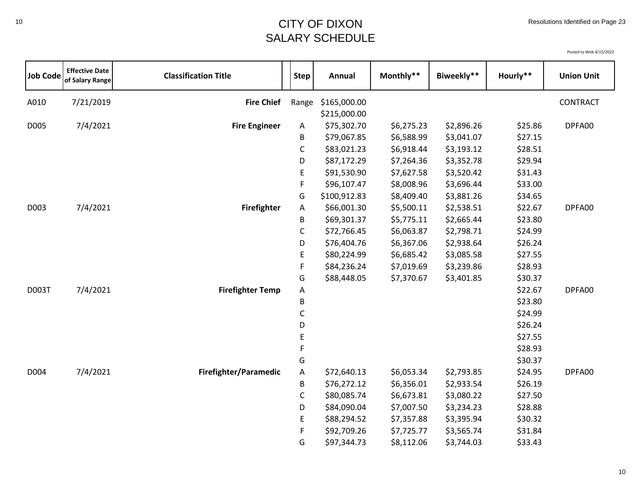Posted to Web 4/15/2022

| <b>Job Code</b> | <b>Effective Date</b><br>of Salary Range | <b>Classification Title</b> | <b>Step</b>  | Annual       | Monthly**  | Biweekly** | Hourly** | <b>Union Unit</b> |
|-----------------|------------------------------------------|-----------------------------|--------------|--------------|------------|------------|----------|-------------------|
| A010            | 7/21/2019                                | <b>Fire Chief</b>           | Range        | \$165,000.00 |            |            |          | CONTRACT          |
|                 |                                          |                             |              | \$215,000.00 |            |            |          |                   |
| D005            | 7/4/2021                                 | <b>Fire Engineer</b>        | Α            | \$75,302.70  | \$6,275.23 | \$2,896.26 | \$25.86  | DPFA00            |
|                 |                                          |                             | B            | \$79,067.85  | \$6,588.99 | \$3,041.07 | \$27.15  |                   |
|                 |                                          |                             | $\mathsf{C}$ | \$83,021.23  | \$6,918.44 | \$3,193.12 | \$28.51  |                   |
|                 |                                          |                             | D            | \$87,172.29  | \$7,264.36 | \$3,352.78 | \$29.94  |                   |
|                 |                                          |                             | E            | \$91,530.90  | \$7,627.58 | \$3,520.42 | \$31.43  |                   |
|                 |                                          |                             | F            | \$96,107.47  | \$8,008.96 | \$3,696.44 | \$33.00  |                   |
|                 |                                          |                             | G            | \$100,912.83 | \$8,409.40 | \$3,881.26 | \$34.65  |                   |
| D003            | 7/4/2021                                 | <b>Firefighter</b>          | A            | \$66,001.30  | \$5,500.11 | \$2,538.51 | \$22.67  | DPFA00            |
|                 |                                          |                             | B            | \$69,301.37  | \$5,775.11 | \$2,665.44 | \$23.80  |                   |
|                 |                                          |                             | C            | \$72,766.45  | \$6,063.87 | \$2,798.71 | \$24.99  |                   |
|                 |                                          |                             | D            | \$76,404.76  | \$6,367.06 | \$2,938.64 | \$26.24  |                   |
|                 |                                          |                             | E            | \$80,224.99  | \$6,685.42 | \$3,085.58 | \$27.55  |                   |
|                 |                                          |                             | F            | \$84,236.24  | \$7,019.69 | \$3,239.86 | \$28.93  |                   |
|                 |                                          |                             | G            | \$88,448.05  | \$7,370.67 | \$3,401.85 | \$30.37  |                   |
| D003T           | 7/4/2021                                 | <b>Firefighter Temp</b>     | Α            |              |            |            | \$22.67  | DPFA00            |
|                 |                                          |                             | B            |              |            |            | \$23.80  |                   |
|                 |                                          |                             | C            |              |            |            | \$24.99  |                   |
|                 |                                          |                             | D            |              |            |            | \$26.24  |                   |
|                 |                                          |                             | E            |              |            |            | \$27.55  |                   |
|                 |                                          |                             | F            |              |            |            | \$28.93  |                   |
|                 |                                          |                             | G            |              |            |            | \$30.37  |                   |
| D004            | 7/4/2021                                 | Firefighter/Paramedic       | A            | \$72,640.13  | \$6,053.34 | \$2,793.85 | \$24.95  | DPFA00            |
|                 |                                          |                             | B            | \$76,272.12  | \$6,356.01 | \$2,933.54 | \$26.19  |                   |
|                 |                                          |                             | $\mathsf C$  | \$80,085.74  | \$6,673.81 | \$3,080.22 | \$27.50  |                   |
|                 |                                          |                             | D            | \$84,090.04  | \$7,007.50 | \$3,234.23 | \$28.88  |                   |
|                 |                                          |                             | E            | \$88,294.52  | \$7,357.88 | \$3,395.94 | \$30.32  |                   |
|                 |                                          |                             | F            | \$92,709.26  | \$7,725.77 | \$3,565.74 | \$31.84  |                   |
|                 |                                          |                             | G            | \$97,344.73  | \$8,112.06 | \$3,744.03 | \$33.43  |                   |

10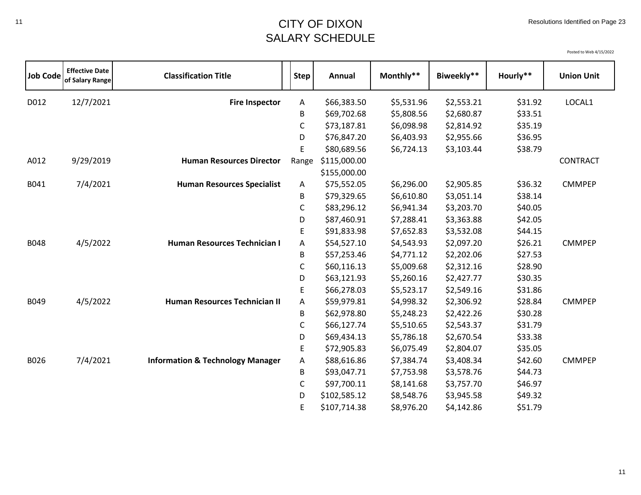## <sup>11</sup> CITY OF DIXON SALARY SCHEDULE

| <b>Job Code</b> | <b>Effective Date</b><br>of Salary Range | <b>Classification Title</b>                 | <b>Step</b> | Annual       | Monthly**  | Biweekly** | Hourly** | <b>Union Unit</b> |
|-----------------|------------------------------------------|---------------------------------------------|-------------|--------------|------------|------------|----------|-------------------|
| D012            | 12/7/2021                                | <b>Fire Inspector</b>                       | Α           | \$66,383.50  | \$5,531.96 | \$2,553.21 | \$31.92  | LOCAL1            |
|                 |                                          |                                             | B           | \$69,702.68  | \$5,808.56 | \$2,680.87 | \$33.51  |                   |
|                 |                                          |                                             | $\mathsf C$ | \$73,187.81  | \$6,098.98 | \$2,814.92 | \$35.19  |                   |
|                 |                                          |                                             | D           | \$76,847.20  | \$6,403.93 | \$2,955.66 | \$36.95  |                   |
|                 |                                          |                                             | E           | \$80,689.56  | \$6,724.13 | \$3,103.44 | \$38.79  |                   |
| A012            | 9/29/2019                                | <b>Human Resources Director</b>             | Range       | \$115,000.00 |            |            |          | <b>CONTRACT</b>   |
|                 |                                          |                                             |             | \$155,000.00 |            |            |          |                   |
| B041            | 7/4/2021                                 | <b>Human Resources Specialist</b>           | A           | \$75,552.05  | \$6,296.00 | \$2,905.85 | \$36.32  | <b>CMMPEP</b>     |
|                 |                                          |                                             | B           | \$79,329.65  | \$6,610.80 | \$3,051.14 | \$38.14  |                   |
|                 |                                          |                                             | C           | \$83,296.12  | \$6,941.34 | \$3,203.70 | \$40.05  |                   |
|                 |                                          |                                             | D           | \$87,460.91  | \$7,288.41 | \$3,363.88 | \$42.05  |                   |
|                 |                                          |                                             | E           | \$91,833.98  | \$7,652.83 | \$3,532.08 | \$44.15  |                   |
| <b>B048</b>     | 4/5/2022                                 | Human Resources Technician I                | A           | \$54,527.10  | \$4,543.93 | \$2,097.20 | \$26.21  | <b>CMMPEP</b>     |
|                 |                                          |                                             | B           | \$57,253.46  | \$4,771.12 | \$2,202.06 | \$27.53  |                   |
|                 |                                          |                                             | $\mathsf C$ | \$60,116.13  | \$5,009.68 | \$2,312.16 | \$28.90  |                   |
|                 |                                          |                                             | D           | \$63,121.93  | \$5,260.16 | \$2,427.77 | \$30.35  |                   |
|                 |                                          |                                             | E           | \$66,278.03  | \$5,523.17 | \$2,549.16 | \$31.86  |                   |
| B049            | 4/5/2022                                 | Human Resources Technician II               | Α           | \$59,979.81  | \$4,998.32 | \$2,306.92 | \$28.84  | <b>CMMPEP</b>     |
|                 |                                          |                                             | B           | \$62,978.80  | \$5,248.23 | \$2,422.26 | \$30.28  |                   |
|                 |                                          |                                             | C           | \$66,127.74  | \$5,510.65 | \$2,543.37 | \$31.79  |                   |
|                 |                                          |                                             | D           | \$69,434.13  | \$5,786.18 | \$2,670.54 | \$33.38  |                   |
|                 |                                          |                                             | E           | \$72,905.83  | \$6,075.49 | \$2,804.07 | \$35.05  |                   |
| B026            | 7/4/2021                                 | <b>Information &amp; Technology Manager</b> | Α           | \$88,616.86  | \$7,384.74 | \$3,408.34 | \$42.60  | <b>CMMPEP</b>     |
|                 |                                          |                                             | B           | \$93,047.71  | \$7,753.98 | \$3,578.76 | \$44.73  |                   |
|                 |                                          |                                             | $\mathsf C$ | \$97,700.11  | \$8,141.68 | \$3,757.70 | \$46.97  |                   |
|                 |                                          |                                             | D           | \$102,585.12 | \$8,548.76 | \$3,945.58 | \$49.32  |                   |
|                 |                                          |                                             | E           | \$107,714.38 | \$8,976.20 | \$4,142.86 | \$51.79  |                   |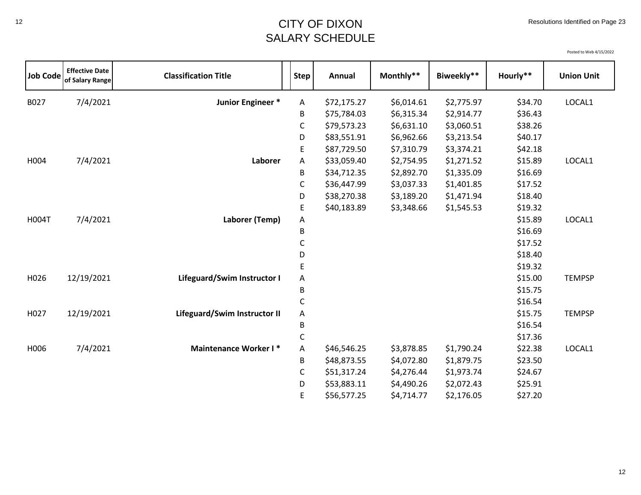## <sup>12</sup> CITY OF DIXON SALARY SCHEDULE

| <b>Job Code</b> | <b>Effective Date</b><br>of Salary Range | <b>Classification Title</b>  | <b>Step</b> | Annual      | Monthly**  | Biweekly** | Hourly** | <b>Union Unit</b> |
|-----------------|------------------------------------------|------------------------------|-------------|-------------|------------|------------|----------|-------------------|
| B027            | 7/4/2021                                 | Junior Engineer *            | Α           | \$72,175.27 | \$6,014.61 | \$2,775.97 | \$34.70  | LOCAL1            |
|                 |                                          |                              | B           | \$75,784.03 | \$6,315.34 | \$2,914.77 | \$36.43  |                   |
|                 |                                          |                              | С           | \$79,573.23 | \$6,631.10 | \$3,060.51 | \$38.26  |                   |
|                 |                                          |                              | D           | \$83,551.91 | \$6,962.66 | \$3,213.54 | \$40.17  |                   |
|                 |                                          |                              | E           | \$87,729.50 | \$7,310.79 | \$3,374.21 | \$42.18  |                   |
| H004            | 7/4/2021                                 | Laborer                      | Α           | \$33,059.40 | \$2,754.95 | \$1,271.52 | \$15.89  | LOCAL1            |
|                 |                                          |                              | В           | \$34,712.35 | \$2,892.70 | \$1,335.09 | \$16.69  |                   |
|                 |                                          |                              | С           | \$36,447.99 | \$3,037.33 | \$1,401.85 | \$17.52  |                   |
|                 |                                          |                              | D           | \$38,270.38 | \$3,189.20 | \$1,471.94 | \$18.40  |                   |
|                 |                                          |                              | E           | \$40,183.89 | \$3,348.66 | \$1,545.53 | \$19.32  |                   |
| <b>H004T</b>    | 7/4/2021                                 | Laborer (Temp)               | Α           |             |            |            | \$15.89  | LOCAL1            |
|                 |                                          |                              | B           |             |            |            | \$16.69  |                   |
|                 |                                          |                              | С           |             |            |            | \$17.52  |                   |
|                 |                                          |                              | D           |             |            |            | \$18.40  |                   |
|                 |                                          |                              | E           |             |            |            | \$19.32  |                   |
| H026            | 12/19/2021                               | Lifeguard/Swim Instructor I  | A           |             |            |            | \$15.00  | <b>TEMPSP</b>     |
|                 |                                          |                              | B           |             |            |            | \$15.75  |                   |
|                 |                                          |                              | C           |             |            |            | \$16.54  |                   |
| H027            | 12/19/2021                               | Lifeguard/Swim Instructor II | A           |             |            |            | \$15.75  | <b>TEMPSP</b>     |
|                 |                                          |                              | B           |             |            |            | \$16.54  |                   |
|                 |                                          |                              | $\mathsf C$ |             |            |            | \$17.36  |                   |
| H006            | 7/4/2021                                 | <b>Maintenance Worker I*</b> | Α           | \$46,546.25 | \$3,878.85 | \$1,790.24 | \$22.38  | LOCAL1            |
|                 |                                          |                              | B           | \$48,873.55 | \$4,072.80 | \$1,879.75 | \$23.50  |                   |
|                 |                                          |                              | C           | \$51,317.24 | \$4,276.44 | \$1,973.74 | \$24.67  |                   |
|                 |                                          |                              | D           | \$53,883.11 | \$4,490.26 | \$2,072.43 | \$25.91  |                   |
|                 |                                          |                              | E           | \$56,577.25 | \$4,714.77 | \$2,176.05 | \$27.20  |                   |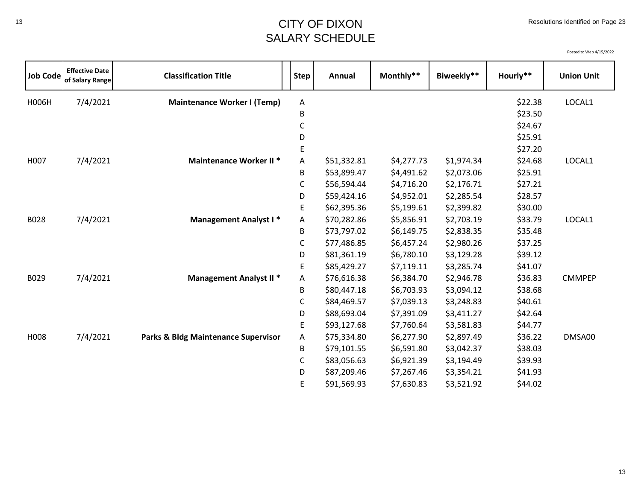## <sup>13</sup> CITY OF DIXON SALARY SCHEDULE

| <b>Job Code</b> | <b>Effective Date</b><br>of Salary Range | <b>Classification Title</b>                    | <b>Step</b> | Annual      | Monthly**  | Biweekly** | Hourly** | <b>Union Unit</b> |
|-----------------|------------------------------------------|------------------------------------------------|-------------|-------------|------------|------------|----------|-------------------|
| H006H           | 7/4/2021                                 | <b>Maintenance Worker I (Temp)</b>             | Α           |             |            |            | \$22.38  | LOCAL1            |
|                 |                                          |                                                | B           |             |            |            | \$23.50  |                   |
|                 |                                          |                                                | С           |             |            |            | \$24.67  |                   |
|                 |                                          |                                                | D           |             |            |            | \$25.91  |                   |
|                 |                                          |                                                | E           |             |            |            | \$27.20  |                   |
| H007            | 7/4/2021                                 | <b>Maintenance Worker II *</b>                 | A           | \$51,332.81 | \$4,277.73 | \$1,974.34 | \$24.68  | LOCAL1            |
|                 |                                          |                                                | B           | \$53,899.47 | \$4,491.62 | \$2,073.06 | \$25.91  |                   |
|                 |                                          |                                                | C           | \$56,594.44 | \$4,716.20 | \$2,176.71 | \$27.21  |                   |
|                 |                                          |                                                | D           | \$59,424.16 | \$4,952.01 | \$2,285.54 | \$28.57  |                   |
|                 |                                          |                                                | E           | \$62,395.36 | \$5,199.61 | \$2,399.82 | \$30.00  |                   |
| B028            | 7/4/2021                                 | <b>Management Analyst I*</b>                   | A           | \$70,282.86 | \$5,856.91 | \$2,703.19 | \$33.79  | LOCAL1            |
|                 |                                          |                                                | B           | \$73,797.02 | \$6,149.75 | \$2,838.35 | \$35.48  |                   |
|                 |                                          |                                                | C           | \$77,486.85 | \$6,457.24 | \$2,980.26 | \$37.25  |                   |
|                 |                                          |                                                | D           | \$81,361.19 | \$6,780.10 | \$3,129.28 | \$39.12  |                   |
|                 |                                          |                                                | E           | \$85,429.27 | \$7,119.11 | \$3,285.74 | \$41.07  |                   |
| B029            | 7/4/2021                                 | <b>Management Analyst II *</b>                 | Α           | \$76,616.38 | \$6,384.70 | \$2,946.78 | \$36.83  | <b>CMMPEP</b>     |
|                 |                                          |                                                | B           | \$80,447.18 | \$6,703.93 | \$3,094.12 | \$38.68  |                   |
|                 |                                          |                                                | C           | \$84,469.57 | \$7,039.13 | \$3,248.83 | \$40.61  |                   |
|                 |                                          |                                                | D           | \$88,693.04 | \$7,391.09 | \$3,411.27 | \$42.64  |                   |
|                 |                                          |                                                | E           | \$93,127.68 | \$7,760.64 | \$3,581.83 | \$44.77  |                   |
| H008            | 7/4/2021                                 | <b>Parks &amp; Bldg Maintenance Supervisor</b> | A           | \$75,334.80 | \$6,277.90 | \$2,897.49 | \$36.22  | DMSA00            |
|                 |                                          |                                                | B           | \$79,101.55 | \$6,591.80 | \$3,042.37 | \$38.03  |                   |
|                 |                                          |                                                | C           | \$83,056.63 | \$6,921.39 | \$3,194.49 | \$39.93  |                   |
|                 |                                          |                                                | D           | \$87,209.46 | \$7,267.46 | \$3,354.21 | \$41.93  |                   |
|                 |                                          |                                                | E           | \$91,569.93 | \$7,630.83 | \$3,521.92 | \$44.02  |                   |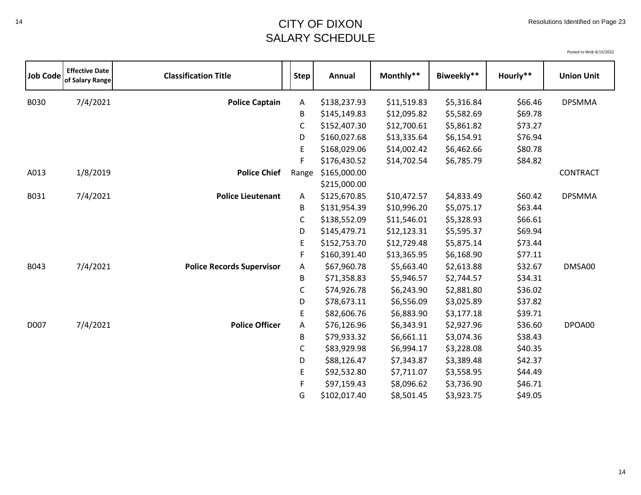## <sup>14</sup> CITY OF DIXON SALARY SCHEDULE

| <b>Job Code</b> | <b>Effective Date</b><br>of Salary Range | <b>Classification Title</b>      | <b>Step</b> | Annual                       | Monthly**   | Biweekly** | Hourly** | <b>Union Unit</b> |
|-----------------|------------------------------------------|----------------------------------|-------------|------------------------------|-------------|------------|----------|-------------------|
| B030            | 7/4/2021                                 | <b>Police Captain</b>            | Α           | \$138,237.93                 | \$11,519.83 | \$5,316.84 | \$66.46  | <b>DPSMMA</b>     |
|                 |                                          |                                  | В           | \$145,149.83                 | \$12,095.82 | \$5,582.69 | \$69.78  |                   |
|                 |                                          |                                  | C           | \$152,407.30                 | \$12,700.61 | \$5,861.82 | \$73.27  |                   |
|                 |                                          |                                  | D           | \$160,027.68                 | \$13,335.64 | \$6,154.91 | \$76.94  |                   |
|                 |                                          |                                  | E           | \$168,029.06                 | \$14,002.42 | \$6,462.66 | \$80.78  |                   |
|                 |                                          |                                  | F           | \$176,430.52                 | \$14,702.54 | \$6,785.79 | \$84.82  |                   |
| A013            | 1/8/2019                                 | <b>Police Chief</b>              | Range       | \$165,000.00<br>\$215,000.00 |             |            |          | <b>CONTRACT</b>   |
| B031            | 7/4/2021                                 | <b>Police Lieutenant</b>         | A           | \$125,670.85                 | \$10,472.57 | \$4,833.49 | \$60.42  | <b>DPSMMA</b>     |
|                 |                                          |                                  | В           | \$131,954.39                 | \$10,996.20 | \$5,075.17 | \$63.44  |                   |
|                 |                                          |                                  | С           | \$138,552.09                 | \$11,546.01 | \$5,328.93 | \$66.61  |                   |
|                 |                                          |                                  | D           | \$145,479.71                 | \$12,123.31 | \$5,595.37 | \$69.94  |                   |
|                 |                                          |                                  | E           | \$152,753.70                 | \$12,729.48 | \$5,875.14 | \$73.44  |                   |
|                 |                                          |                                  | F           | \$160,391.40                 | \$13,365.95 | \$6,168.90 | \$77.11  |                   |
| B043            | 7/4/2021                                 | <b>Police Records Supervisor</b> | Α           | \$67,960.78                  | \$5,663.40  | \$2,613.88 | \$32.67  | DMSA00            |
|                 |                                          |                                  | В           | \$71,358.83                  | \$5,946.57  | \$2,744.57 | \$34.31  |                   |
|                 |                                          |                                  | С           | \$74,926.78                  | \$6,243.90  | \$2,881.80 | \$36.02  |                   |
|                 |                                          |                                  | D           | \$78,673.11                  | \$6,556.09  | \$3,025.89 | \$37.82  |                   |
|                 |                                          |                                  | E.          | \$82,606.76                  | \$6,883.90  | \$3,177.18 | \$39.71  |                   |
| D007            | 7/4/2021                                 | <b>Police Officer</b>            | Α           | \$76,126.96                  | \$6,343.91  | \$2,927.96 | \$36.60  | DPOA00            |
|                 |                                          |                                  | В           | \$79,933.32                  | \$6,661.11  | \$3,074.36 | \$38.43  |                   |
|                 |                                          |                                  | С           | \$83,929.98                  | \$6,994.17  | \$3,228.08 | \$40.35  |                   |
|                 |                                          |                                  | D           | \$88,126.47                  | \$7,343.87  | \$3,389.48 | \$42.37  |                   |
|                 |                                          |                                  | E           | \$92,532.80                  | \$7,711.07  | \$3,558.95 | \$44.49  |                   |
|                 |                                          |                                  | F           | \$97,159.43                  | \$8,096.62  | \$3,736.90 | \$46.71  |                   |
|                 |                                          |                                  | G           | \$102,017.40                 | \$8,501.45  | \$3,923.75 | \$49.05  |                   |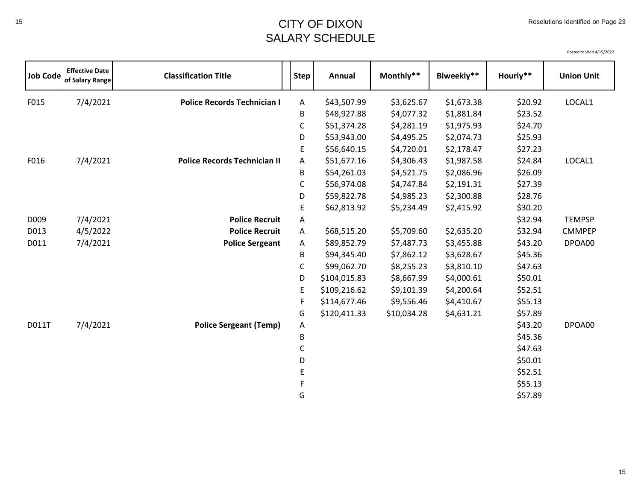## <sup>15</sup> CITY OF DIXON SALARY SCHEDULE

| <b>Job Code</b> | <b>Effective Date</b><br>of Salary Range | <b>Classification Title</b>         | <b>Step</b>  | Annual       | Monthly**   | Biweekly** | Hourly** | <b>Union Unit</b> |
|-----------------|------------------------------------------|-------------------------------------|--------------|--------------|-------------|------------|----------|-------------------|
| F015            | 7/4/2021                                 | <b>Police Records Technician I</b>  | A            | \$43,507.99  | \$3,625.67  | \$1,673.38 | \$20.92  | LOCAL1            |
|                 |                                          |                                     | B            | \$48,927.88  | \$4,077.32  | \$1,881.84 | \$23.52  |                   |
|                 |                                          |                                     | $\mathsf C$  | \$51,374.28  | \$4,281.19  | \$1,975.93 | \$24.70  |                   |
|                 |                                          |                                     | D            | \$53,943.00  | \$4,495.25  | \$2,074.73 | \$25.93  |                   |
|                 |                                          |                                     | $\mathsf E$  | \$56,640.15  | \$4,720.01  | \$2,178.47 | \$27.23  |                   |
| F016            | 7/4/2021                                 | <b>Police Records Technician II</b> | Α            | \$51,677.16  | \$4,306.43  | \$1,987.58 | \$24.84  | LOCAL1            |
|                 |                                          |                                     | B            | \$54,261.03  | \$4,521.75  | \$2,086.96 | \$26.09  |                   |
|                 |                                          |                                     | $\mathsf C$  | \$56,974.08  | \$4,747.84  | \$2,191.31 | \$27.39  |                   |
|                 |                                          |                                     | D            | \$59,822.78  | \$4,985.23  | \$2,300.88 | \$28.76  |                   |
|                 |                                          |                                     | E            | \$62,813.92  | \$5,234.49  | \$2,415.92 | \$30.20  |                   |
| D009            | 7/4/2021                                 | <b>Police Recruit</b>               | A            |              |             |            | \$32.94  | <b>TEMPSP</b>     |
| D013            | 4/5/2022                                 | <b>Police Recruit</b>               | A            | \$68,515.20  | \$5,709.60  | \$2,635.20 | \$32.94  | <b>CMMPEP</b>     |
| D011            | 7/4/2021                                 | <b>Police Sergeant</b>              | Α            | \$89,852.79  | \$7,487.73  | \$3,455.88 | \$43.20  | DPOA00            |
|                 |                                          |                                     | В            | \$94,345.40  | \$7,862.12  | \$3,628.67 | \$45.36  |                   |
|                 |                                          |                                     | $\mathsf C$  | \$99,062.70  | \$8,255.23  | \$3,810.10 | \$47.63  |                   |
|                 |                                          |                                     | D            | \$104,015.83 | \$8,667.99  | \$4,000.61 | \$50.01  |                   |
|                 |                                          |                                     | E            | \$109,216.62 | \$9,101.39  | \$4,200.64 | \$52.51  |                   |
|                 |                                          |                                     | F            | \$114,677.46 | \$9,556.46  | \$4,410.67 | \$55.13  |                   |
|                 |                                          |                                     | G            | \$120,411.33 | \$10,034.28 | \$4,631.21 | \$57.89  |                   |
| D011T           | 7/4/2021                                 | <b>Police Sergeant (Temp)</b>       | Α            |              |             |            | \$43.20  | DPOA00            |
|                 |                                          |                                     | B            |              |             |            | \$45.36  |                   |
|                 |                                          |                                     | $\mathsf{C}$ |              |             |            | \$47.63  |                   |
|                 |                                          |                                     | D            |              |             |            | \$50.01  |                   |
|                 |                                          |                                     | E            |              |             |            | \$52.51  |                   |
|                 |                                          |                                     |              |              |             |            | \$55.13  |                   |
|                 |                                          |                                     | G            |              |             |            | \$57.89  |                   |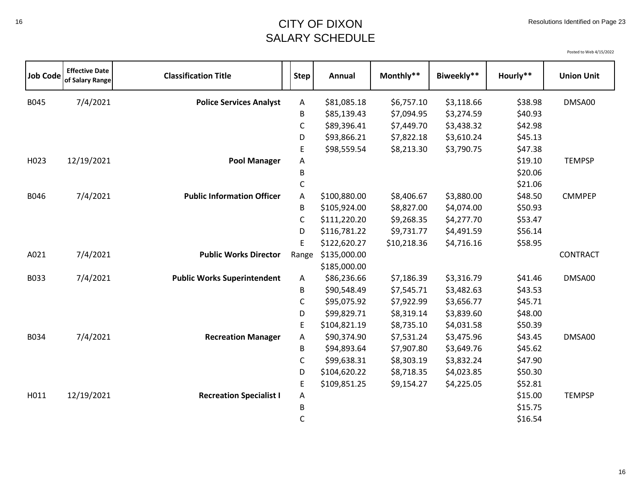| <b>Job Code</b> | <b>Effective Date</b><br>of Salary Range | <b>Classification Title</b>        | <b>Step</b> | Annual       | Monthly**   | Biweekly** | Hourly** | <b>Union Unit</b> |
|-----------------|------------------------------------------|------------------------------------|-------------|--------------|-------------|------------|----------|-------------------|
| B045            | 7/4/2021                                 | <b>Police Services Analyst</b>     | Α           | \$81,085.18  | \$6,757.10  | \$3,118.66 | \$38.98  | DMSA00            |
|                 |                                          |                                    | B           | \$85,139.43  | \$7,094.95  | \$3,274.59 | \$40.93  |                   |
|                 |                                          |                                    | C           | \$89,396.41  | \$7,449.70  | \$3,438.32 | \$42.98  |                   |
|                 |                                          |                                    | D           | \$93,866.21  | \$7,822.18  | \$3,610.24 | \$45.13  |                   |
|                 |                                          |                                    | E           | \$98,559.54  | \$8,213.30  | \$3,790.75 | \$47.38  |                   |
| H023            | 12/19/2021                               | <b>Pool Manager</b>                | Α           |              |             |            | \$19.10  | <b>TEMPSP</b>     |
|                 |                                          |                                    | B           |              |             |            | \$20.06  |                   |
|                 |                                          |                                    | $\mathsf C$ |              |             |            | \$21.06  |                   |
| B046            | 7/4/2021                                 | <b>Public Information Officer</b>  | A           | \$100,880.00 | \$8,406.67  | \$3,880.00 | \$48.50  | <b>CMMPEP</b>     |
|                 |                                          |                                    | В           | \$105,924.00 | \$8,827.00  | \$4,074.00 | \$50.93  |                   |
|                 |                                          |                                    | C           | \$111,220.20 | \$9,268.35  | \$4,277.70 | \$53.47  |                   |
|                 |                                          |                                    | D           | \$116,781.22 | \$9,731.77  | \$4,491.59 | \$56.14  |                   |
|                 |                                          |                                    | E           | \$122,620.27 | \$10,218.36 | \$4,716.16 | \$58.95  |                   |
| A021            | 7/4/2021                                 | <b>Public Works Director</b>       | Range       | \$135,000.00 |             |            |          | <b>CONTRACT</b>   |
|                 |                                          |                                    |             | \$185,000.00 |             |            |          |                   |
| B033            | 7/4/2021                                 | <b>Public Works Superintendent</b> | A           | \$86,236.66  | \$7,186.39  | \$3,316.79 | \$41.46  | DMSA00            |
|                 |                                          |                                    | B           | \$90,548.49  | \$7,545.71  | \$3,482.63 | \$43.53  |                   |
|                 |                                          |                                    | $\mathsf C$ | \$95,075.92  | \$7,922.99  | \$3,656.77 | \$45.71  |                   |
|                 |                                          |                                    | D           | \$99,829.71  | \$8,319.14  | \$3,839.60 | \$48.00  |                   |
|                 |                                          |                                    | E           | \$104,821.19 | \$8,735.10  | \$4,031.58 | \$50.39  |                   |
| B034            | 7/4/2021                                 | <b>Recreation Manager</b>          | Α           | \$90,374.90  | \$7,531.24  | \$3,475.96 | \$43.45  | DMSA00            |
|                 |                                          |                                    | В           | \$94,893.64  | \$7,907.80  | \$3,649.76 | \$45.62  |                   |
|                 |                                          |                                    | $\mathsf C$ | \$99,638.31  | \$8,303.19  | \$3,832.24 | \$47.90  |                   |
|                 |                                          |                                    | D           | \$104,620.22 | \$8,718.35  | \$4,023.85 | \$50.30  |                   |
|                 |                                          |                                    | E           | \$109,851.25 | \$9,154.27  | \$4,225.05 | \$52.81  |                   |
| H011            | 12/19/2021                               | <b>Recreation Specialist I</b>     | Α           |              |             |            | \$15.00  | <b>TEMPSP</b>     |
|                 |                                          |                                    | B           |              |             |            | \$15.75  |                   |
|                 |                                          |                                    | C           |              |             |            | \$16.54  |                   |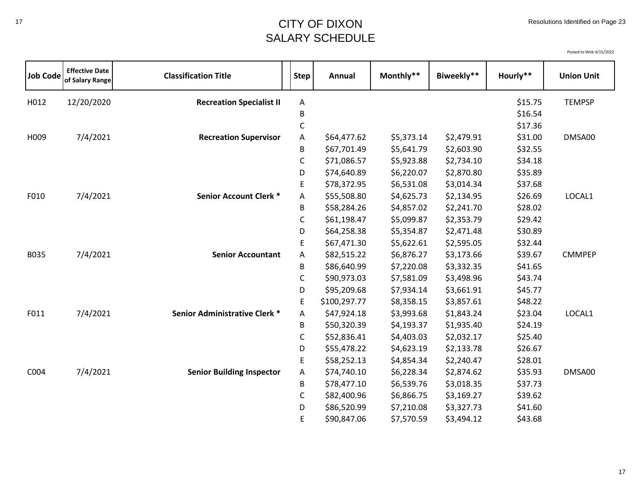## <sup>17</sup> CITY OF DIXON SALARY SCHEDULE

| <b>Job Code</b> | <b>Effective Date</b><br>of Salary Range | <b>Classification Title</b>      | Step <sup>1</sup> | Annual       | Monthly**  | Biweekly** | Hourly** | <b>Union Unit</b> |
|-----------------|------------------------------------------|----------------------------------|-------------------|--------------|------------|------------|----------|-------------------|
| H012            | 12/20/2020                               | <b>Recreation Specialist II</b>  | Α                 |              |            |            | \$15.75  | <b>TEMPSP</b>     |
|                 |                                          |                                  | В                 |              |            |            | \$16.54  |                   |
|                 |                                          |                                  | $\mathsf C$       |              |            |            | \$17.36  |                   |
| H009            | 7/4/2021                                 | <b>Recreation Supervisor</b>     | Α                 | \$64,477.62  | \$5,373.14 | \$2,479.91 | \$31.00  | DMSA00            |
|                 |                                          |                                  | B                 | \$67,701.49  | \$5,641.79 | \$2,603.90 | \$32.55  |                   |
|                 |                                          |                                  | C                 | \$71,086.57  | \$5,923.88 | \$2,734.10 | \$34.18  |                   |
|                 |                                          |                                  | D                 | \$74,640.89  | \$6,220.07 | \$2,870.80 | \$35.89  |                   |
|                 |                                          |                                  | E                 | \$78,372.95  | \$6,531.08 | \$3,014.34 | \$37.68  |                   |
| F010            | 7/4/2021                                 | <b>Senior Account Clerk *</b>    | Α                 | \$55,508.80  | \$4,625.73 | \$2,134.95 | \$26.69  | LOCAL1            |
|                 |                                          |                                  | B                 | \$58,284.26  | \$4,857.02 | \$2,241.70 | \$28.02  |                   |
|                 |                                          |                                  | $\mathsf C$       | \$61,198.47  | \$5,099.87 | \$2,353.79 | \$29.42  |                   |
|                 |                                          |                                  | D                 | \$64,258.38  | \$5,354.87 | \$2,471.48 | \$30.89  |                   |
|                 |                                          |                                  | E                 | \$67,471.30  | \$5,622.61 | \$2,595.05 | \$32.44  |                   |
| B035            | 7/4/2021                                 | <b>Senior Accountant</b>         | Α                 | \$82,515.22  | \$6,876.27 | \$3,173.66 | \$39.67  | <b>CMMPEP</b>     |
|                 |                                          |                                  | B                 | \$86,640.99  | \$7,220.08 | \$3,332.35 | \$41.65  |                   |
|                 |                                          |                                  | C                 | \$90,973.03  | \$7,581.09 | \$3,498.96 | \$43.74  |                   |
|                 |                                          |                                  | D                 | \$95,209.68  | \$7,934.14 | \$3,661.91 | \$45.77  |                   |
|                 |                                          |                                  | E                 | \$100,297.77 | \$8,358.15 | \$3,857.61 | \$48.22  |                   |
| F011            | 7/4/2021                                 | Senior Administrative Clerk *    | А                 | \$47,924.18  | \$3,993.68 | \$1,843.24 | \$23.04  | LOCAL1            |
|                 |                                          |                                  | B                 | \$50,320.39  | \$4,193.37 | \$1,935.40 | \$24.19  |                   |
|                 |                                          |                                  | $\mathsf C$       | \$52,836.41  | \$4,403.03 | \$2,032.17 | \$25.40  |                   |
|                 |                                          |                                  | D                 | \$55,478.22  | \$4,623.19 | \$2,133.78 | \$26.67  |                   |
|                 |                                          |                                  | E                 | \$58,252.13  | \$4,854.34 | \$2,240.47 | \$28.01  |                   |
| C004            | 7/4/2021                                 | <b>Senior Building Inspector</b> | Α                 | \$74,740.10  | \$6,228.34 | \$2,874.62 | \$35.93  | DMSA00            |
|                 |                                          |                                  | B                 | \$78,477.10  | \$6,539.76 | \$3,018.35 | \$37.73  |                   |
|                 |                                          |                                  | C                 | \$82,400.96  | \$6,866.75 | \$3,169.27 | \$39.62  |                   |
|                 |                                          |                                  | D                 | \$86,520.99  | \$7,210.08 | \$3,327.73 | \$41.60  |                   |
|                 |                                          |                                  | E                 | \$90,847.06  | \$7,570.59 | \$3,494.12 | \$43.68  |                   |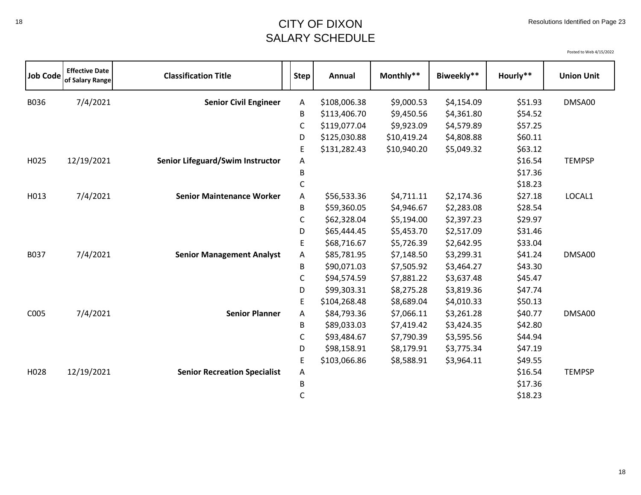| <b>Job Code</b> | <b>Effective Date</b><br>of Salary Range | <b>Classification Title</b>         | <b>Step</b>  | Annual       | Monthly**   | Biweekly** | Hourly** | <b>Union Unit</b> |
|-----------------|------------------------------------------|-------------------------------------|--------------|--------------|-------------|------------|----------|-------------------|
| B036            | 7/4/2021                                 | <b>Senior Civil Engineer</b>        | A            | \$108,006.38 | \$9,000.53  | \$4,154.09 | \$51.93  | DMSA00            |
|                 |                                          |                                     | B            | \$113,406.70 | \$9,450.56  | \$4,361.80 | \$54.52  |                   |
|                 |                                          |                                     | C            | \$119,077.04 | \$9,923.09  | \$4,579.89 | \$57.25  |                   |
|                 |                                          |                                     | D            | \$125,030.88 | \$10,419.24 | \$4,808.88 | \$60.11  |                   |
|                 |                                          |                                     | E            | \$131,282.43 | \$10,940.20 | \$5,049.32 | \$63.12  |                   |
| H025            | 12/19/2021                               | Senior Lifeguard/Swim Instructor    | A            |              |             |            | \$16.54  | <b>TEMPSP</b>     |
|                 |                                          |                                     | B            |              |             |            | \$17.36  |                   |
|                 |                                          |                                     | $\mathsf C$  |              |             |            | \$18.23  |                   |
| H013            | 7/4/2021                                 | <b>Senior Maintenance Worker</b>    | Α            | \$56,533.36  | \$4,711.11  | \$2,174.36 | \$27.18  | LOCAL1            |
|                 |                                          |                                     | B            | \$59,360.05  | \$4,946.67  | \$2,283.08 | \$28.54  |                   |
|                 |                                          |                                     | C            | \$62,328.04  | \$5,194.00  | \$2,397.23 | \$29.97  |                   |
|                 |                                          |                                     | D            | \$65,444.45  | \$5,453.70  | \$2,517.09 | \$31.46  |                   |
|                 |                                          |                                     | E            | \$68,716.67  | \$5,726.39  | \$2,642.95 | \$33.04  |                   |
| B037            | 7/4/2021                                 | <b>Senior Management Analyst</b>    | A            | \$85,781.95  | \$7,148.50  | \$3,299.31 | \$41.24  | DMSA00            |
|                 |                                          |                                     | B            | \$90,071.03  | \$7,505.92  | \$3,464.27 | \$43.30  |                   |
|                 |                                          |                                     | $\mathsf C$  | \$94,574.59  | \$7,881.22  | \$3,637.48 | \$45.47  |                   |
|                 |                                          |                                     | D            | \$99,303.31  | \$8,275.28  | \$3,819.36 | \$47.74  |                   |
|                 |                                          |                                     | E            | \$104,268.48 | \$8,689.04  | \$4,010.33 | \$50.13  |                   |
| C005            | 7/4/2021                                 | <b>Senior Planner</b>               | Α            | \$84,793.36  | \$7,066.11  | \$3,261.28 | \$40.77  | DMSA00            |
|                 |                                          |                                     | B            | \$89,033.03  | \$7,419.42  | \$3,424.35 | \$42.80  |                   |
|                 |                                          |                                     | C            | \$93,484.67  | \$7,790.39  | \$3,595.56 | \$44.94  |                   |
|                 |                                          |                                     | D            | \$98,158.91  | \$8,179.91  | \$3,775.34 | \$47.19  |                   |
|                 |                                          |                                     | E            | \$103,066.86 | \$8,588.91  | \$3,964.11 | \$49.55  |                   |
| H028            | 12/19/2021                               | <b>Senior Recreation Specialist</b> | Α            |              |             |            | \$16.54  | <b>TEMPSP</b>     |
|                 |                                          |                                     | B            |              |             |            | \$17.36  |                   |
|                 |                                          |                                     | $\mathsf{C}$ |              |             |            | \$18.23  |                   |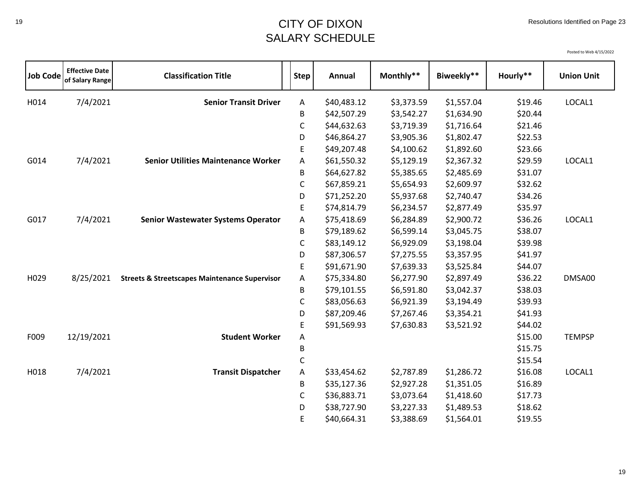| <b>Job Code</b> | <b>Effective Date</b><br>of Salary Range | <b>Classification Title</b>                              | <b>Step</b> | Annual      | Monthly**  | Biweekly** | Hourly** | <b>Union Unit</b> |
|-----------------|------------------------------------------|----------------------------------------------------------|-------------|-------------|------------|------------|----------|-------------------|
| H014            | 7/4/2021                                 | <b>Senior Transit Driver</b>                             | A           | \$40,483.12 | \$3,373.59 | \$1,557.04 | \$19.46  | LOCAL1            |
|                 |                                          |                                                          | В           | \$42,507.29 | \$3,542.27 | \$1,634.90 | \$20.44  |                   |
|                 |                                          |                                                          | C           | \$44,632.63 | \$3,719.39 | \$1,716.64 | \$21.46  |                   |
|                 |                                          |                                                          | D           | \$46,864.27 | \$3,905.36 | \$1,802.47 | \$22.53  |                   |
|                 |                                          |                                                          | E           | \$49,207.48 | \$4,100.62 | \$1,892.60 | \$23.66  |                   |
| G014            | 7/4/2021                                 | <b>Senior Utilities Maintenance Worker</b>               | Α           | \$61,550.32 | \$5,129.19 | \$2,367.32 | \$29.59  | LOCAL1            |
|                 |                                          |                                                          | B           | \$64,627.82 | \$5,385.65 | \$2,485.69 | \$31.07  |                   |
|                 |                                          |                                                          | C           | \$67,859.21 | \$5,654.93 | \$2,609.97 | \$32.62  |                   |
|                 |                                          |                                                          | D           | \$71,252.20 | \$5,937.68 | \$2,740.47 | \$34.26  |                   |
|                 |                                          |                                                          | E           | \$74,814.79 | \$6,234.57 | \$2,877.49 | \$35.97  |                   |
| G017            | 7/4/2021                                 | <b>Senior Wastewater Systems Operator</b>                | Α           | \$75,418.69 | \$6,284.89 | \$2,900.72 | \$36.26  | LOCAL1            |
|                 |                                          |                                                          | B           | \$79,189.62 | \$6,599.14 | \$3,045.75 | \$38.07  |                   |
|                 |                                          |                                                          | $\mathsf C$ | \$83,149.12 | \$6,929.09 | \$3,198.04 | \$39.98  |                   |
|                 |                                          |                                                          | D           | \$87,306.57 | \$7,275.55 | \$3,357.95 | \$41.97  |                   |
|                 |                                          |                                                          | E           | \$91,671.90 | \$7,639.33 | \$3,525.84 | \$44.07  |                   |
| H029            | 8/25/2021                                | <b>Streets &amp; Streetscapes Maintenance Supervisor</b> | Α           | \$75,334.80 | \$6,277.90 | \$2,897.49 | \$36.22  | DMSA00            |
|                 |                                          |                                                          | B           | \$79,101.55 | \$6,591.80 | \$3,042.37 | \$38.03  |                   |
|                 |                                          |                                                          | $\mathsf C$ | \$83,056.63 | \$6,921.39 | \$3,194.49 | \$39.93  |                   |
|                 |                                          |                                                          | D           | \$87,209.46 | \$7,267.46 | \$3,354.21 | \$41.93  |                   |
|                 |                                          |                                                          | Ε           | \$91,569.93 | \$7,630.83 | \$3,521.92 | \$44.02  |                   |
| F009            | 12/19/2021                               | <b>Student Worker</b>                                    | Α           |             |            |            | \$15.00  | <b>TEMPSP</b>     |
|                 |                                          |                                                          | B           |             |            |            | \$15.75  |                   |
|                 |                                          |                                                          | C           |             |            |            | \$15.54  |                   |
| H018            | 7/4/2021                                 | <b>Transit Dispatcher</b>                                | А           | \$33,454.62 | \$2,787.89 | \$1,286.72 | \$16.08  | LOCAL1            |
|                 |                                          |                                                          | B           | \$35,127.36 | \$2,927.28 | \$1,351.05 | \$16.89  |                   |
|                 |                                          |                                                          | $\mathsf C$ | \$36,883.71 | \$3,073.64 | \$1,418.60 | \$17.73  |                   |
|                 |                                          |                                                          | D           | \$38,727.90 | \$3,227.33 | \$1,489.53 | \$18.62  |                   |
|                 |                                          |                                                          | E           | \$40,664.31 | \$3,388.69 | \$1,564.01 | \$19.55  |                   |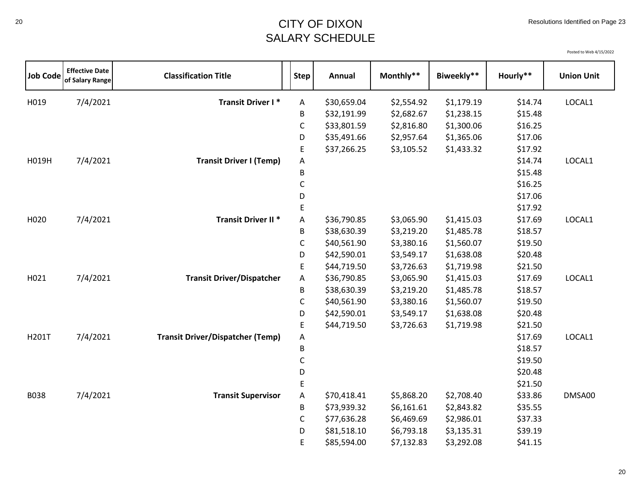# <sup>20</sup> CITY OF DIXON SALARY SCHEDULE

| <b>Job Code</b> | <b>Effective Date</b><br>of Salary Range | <b>Classification Title</b>             | <b>Step</b> | Annual      | Monthly**  | Biweekly** | Hourly** | <b>Union Unit</b> |
|-----------------|------------------------------------------|-----------------------------------------|-------------|-------------|------------|------------|----------|-------------------|
| H019            | 7/4/2021                                 | <b>Transit Driver I*</b>                | Α           | \$30,659.04 | \$2,554.92 | \$1,179.19 | \$14.74  | LOCAL1            |
|                 |                                          |                                         | B           | \$32,191.99 | \$2,682.67 | \$1,238.15 | \$15.48  |                   |
|                 |                                          |                                         | C           | \$33,801.59 | \$2,816.80 | \$1,300.06 | \$16.25  |                   |
|                 |                                          |                                         | D           | \$35,491.66 | \$2,957.64 | \$1,365.06 | \$17.06  |                   |
|                 |                                          |                                         | E           | \$37,266.25 | \$3,105.52 | \$1,433.32 | \$17.92  |                   |
| H019H           | 7/4/2021                                 | <b>Transit Driver I (Temp)</b>          | Α           |             |            |            | \$14.74  | LOCAL1            |
|                 |                                          |                                         | B           |             |            |            | \$15.48  |                   |
|                 |                                          |                                         | С           |             |            |            | \$16.25  |                   |
|                 |                                          |                                         | D           |             |            |            | \$17.06  |                   |
|                 |                                          |                                         | E           |             |            |            | \$17.92  |                   |
| H020            | 7/4/2021                                 | <b>Transit Driver II *</b>              | A           | \$36,790.85 | \$3,065.90 | \$1,415.03 | \$17.69  | LOCAL1            |
|                 |                                          |                                         | B           | \$38,630.39 | \$3,219.20 | \$1,485.78 | \$18.57  |                   |
|                 |                                          |                                         | C           | \$40,561.90 | \$3,380.16 | \$1,560.07 | \$19.50  |                   |
|                 |                                          |                                         | D           | \$42,590.01 | \$3,549.17 | \$1,638.08 | \$20.48  |                   |
|                 |                                          |                                         | E           | \$44,719.50 | \$3,726.63 | \$1,719.98 | \$21.50  |                   |
| H021            | 7/4/2021                                 | <b>Transit Driver/Dispatcher</b>        | A           | \$36,790.85 | \$3,065.90 | \$1,415.03 | \$17.69  | LOCAL1            |
|                 |                                          |                                         | B           | \$38,630.39 | \$3,219.20 | \$1,485.78 | \$18.57  |                   |
|                 |                                          |                                         | $\mathsf C$ | \$40,561.90 | \$3,380.16 | \$1,560.07 | \$19.50  |                   |
|                 |                                          |                                         | D           | \$42,590.01 | \$3,549.17 | \$1,638.08 | \$20.48  |                   |
|                 |                                          |                                         | E           | \$44,719.50 | \$3,726.63 | \$1,719.98 | \$21.50  |                   |
| H201T           | 7/4/2021                                 | <b>Transit Driver/Dispatcher (Temp)</b> | Α           |             |            |            | \$17.69  | LOCAL1            |
|                 |                                          |                                         | B           |             |            |            | \$18.57  |                   |
|                 |                                          |                                         | $\mathsf C$ |             |            |            | \$19.50  |                   |
|                 |                                          |                                         | D           |             |            |            | \$20.48  |                   |
|                 |                                          |                                         | E           |             |            |            | \$21.50  |                   |
| <b>B038</b>     | 7/4/2021                                 | <b>Transit Supervisor</b>               | A           | \$70,418.41 | \$5,868.20 | \$2,708.40 | \$33.86  | DMSA00            |
|                 |                                          |                                         | В           | \$73,939.32 | \$6,161.61 | \$2,843.82 | \$35.55  |                   |
|                 |                                          |                                         | C           | \$77,636.28 | \$6,469.69 | \$2,986.01 | \$37.33  |                   |
|                 |                                          |                                         | D           | \$81,518.10 | \$6,793.18 | \$3,135.31 | \$39.19  |                   |
|                 |                                          |                                         | E           | \$85,594.00 | \$7,132.83 | \$3,292.08 | \$41.15  |                   |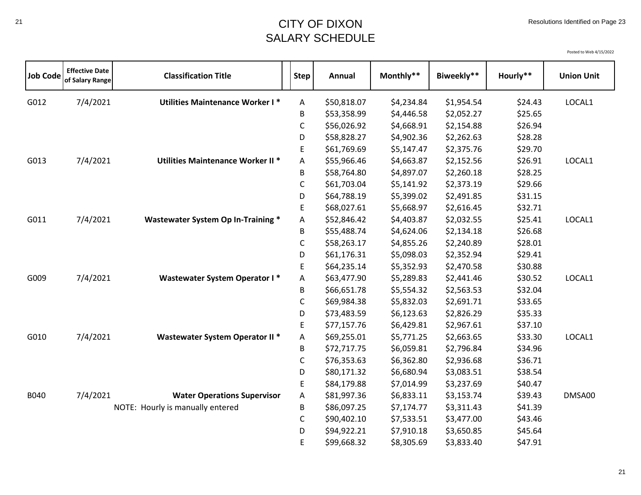## <sup>21</sup> CITY OF DIXON SALARY SCHEDULE

| <b>Job Code</b> | <b>Effective Date</b><br>of Salary Range | <b>Classification Title</b>               | <b>Step</b>  | Annual      | Monthly**  | Biweekly** | Hourly** | <b>Union Unit</b> |
|-----------------|------------------------------------------|-------------------------------------------|--------------|-------------|------------|------------|----------|-------------------|
| G012            | 7/4/2021                                 | Utilities Maintenance Worker I*           | Α            | \$50,818.07 | \$4,234.84 | \$1,954.54 | \$24.43  | LOCAL1            |
|                 |                                          |                                           | B            | \$53,358.99 | \$4,446.58 | \$2,052.27 | \$25.65  |                   |
|                 |                                          |                                           | $\mathsf C$  | \$56,026.92 | \$4,668.91 | \$2,154.88 | \$26.94  |                   |
|                 |                                          |                                           | D            | \$58,828.27 | \$4,902.36 | \$2,262.63 | \$28.28  |                   |
|                 |                                          |                                           | E            | \$61,769.69 | \$5,147.47 | \$2,375.76 | \$29.70  |                   |
| G013            | 7/4/2021                                 | Utilities Maintenance Worker II*          | Α            | \$55,966.46 | \$4,663.87 | \$2,152.56 | \$26.91  | LOCAL1            |
|                 |                                          |                                           | B            | \$58,764.80 | \$4,897.07 | \$2,260.18 | \$28.25  |                   |
|                 |                                          |                                           | C            | \$61,703.04 | \$5,141.92 | \$2,373.19 | \$29.66  |                   |
|                 |                                          |                                           | D            | \$64,788.19 | \$5,399.02 | \$2,491.85 | \$31.15  |                   |
|                 |                                          |                                           | E            | \$68,027.61 | \$5,668.97 | \$2,616.45 | \$32.71  |                   |
| G011            | 7/4/2021                                 | <b>Wastewater System Op In-Training *</b> | A            | \$52,846.42 | \$4,403.87 | \$2,032.55 | \$25.41  | LOCAL1            |
|                 |                                          |                                           | B            | \$55,488.74 | \$4,624.06 | \$2,134.18 | \$26.68  |                   |
|                 |                                          |                                           | $\mathsf{C}$ | \$58,263.17 | \$4,855.26 | \$2,240.89 | \$28.01  |                   |
|                 |                                          |                                           | D            | \$61,176.31 | \$5,098.03 | \$2,352.94 | \$29.41  |                   |
|                 |                                          |                                           | E            | \$64,235.14 | \$5,352.93 | \$2,470.58 | \$30.88  |                   |
| G009            | 7/4/2021                                 | <b>Wastewater System Operator I*</b>      | Α            | \$63,477.90 | \$5,289.83 | \$2,441.46 | \$30.52  | LOCAL1            |
|                 |                                          |                                           | B            | \$66,651.78 | \$5,554.32 | \$2,563.53 | \$32.04  |                   |
|                 |                                          |                                           | $\mathsf C$  | \$69,984.38 | \$5,832.03 | \$2,691.71 | \$33.65  |                   |
|                 |                                          |                                           | D            | \$73,483.59 | \$6,123.63 | \$2,826.29 | \$35.33  |                   |
|                 |                                          |                                           | E            | \$77,157.76 | \$6,429.81 | \$2,967.61 | \$37.10  |                   |
| G010            | 7/4/2021                                 | Wastewater System Operator II *           | Α            | \$69,255.01 | \$5,771.25 | \$2,663.65 | \$33.30  | LOCAL1            |
|                 |                                          |                                           | B            | \$72,717.75 | \$6,059.81 | \$2,796.84 | \$34.96  |                   |
|                 |                                          |                                           | $\mathsf C$  | \$76,353.63 | \$6,362.80 | \$2,936.68 | \$36.71  |                   |
|                 |                                          |                                           | D            | \$80,171.32 | \$6,680.94 | \$3,083.51 | \$38.54  |                   |
|                 |                                          |                                           | E            | \$84,179.88 | \$7,014.99 | \$3,237.69 | \$40.47  |                   |
| B040            | 7/4/2021                                 | <b>Water Operations Supervisor</b>        | A            | \$81,997.36 | \$6,833.11 | \$3,153.74 | \$39.43  | DMSA00            |
|                 |                                          | NOTE: Hourly is manually entered          | B            | \$86,097.25 | \$7,174.77 | \$3,311.43 | \$41.39  |                   |
|                 |                                          |                                           | C            | \$90,402.10 | \$7,533.51 | \$3,477.00 | \$43.46  |                   |
|                 |                                          |                                           | D            | \$94,922.21 | \$7,910.18 | \$3,650.85 | \$45.64  |                   |
|                 |                                          |                                           | E            | \$99,668.32 | \$8,305.69 | \$3,833.40 | \$47.91  |                   |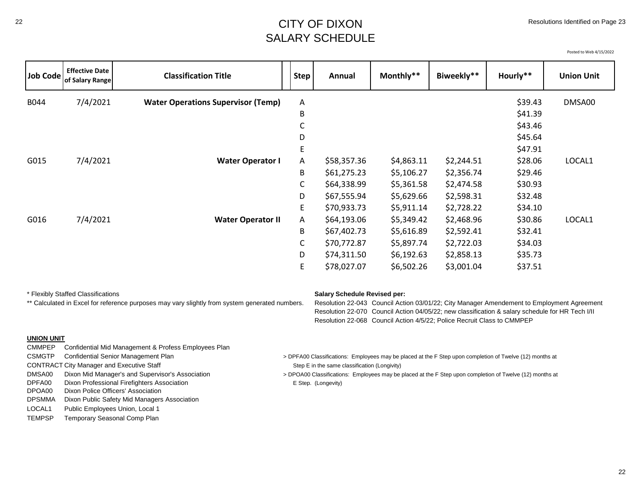#### <sup>22</sup> CITY OF DIXON SALARY SCHEDULE

Posted to Web 4/15/2022

| Job Code | <b>Effective Date</b><br>of Salary Range | <b>Classification Title</b>                                                                    | <b>Step</b> | Annual                              | Monthly**                                                               | Biweekly** | Hourly**                                                                                                                                                                                       | <b>Union Unit</b> |
|----------|------------------------------------------|------------------------------------------------------------------------------------------------|-------------|-------------------------------------|-------------------------------------------------------------------------|------------|------------------------------------------------------------------------------------------------------------------------------------------------------------------------------------------------|-------------------|
| B044     | 7/4/2021                                 | <b>Water Operations Supervisor (Temp)</b>                                                      | A           |                                     |                                                                         |            | \$39.43                                                                                                                                                                                        | DMSA00            |
|          |                                          |                                                                                                | B           |                                     |                                                                         |            | \$41.39                                                                                                                                                                                        |                   |
|          |                                          |                                                                                                | C           |                                     |                                                                         |            | \$43.46                                                                                                                                                                                        |                   |
|          |                                          |                                                                                                | D           |                                     |                                                                         |            | \$45.64                                                                                                                                                                                        |                   |
|          |                                          |                                                                                                | Е           |                                     |                                                                         |            | \$47.91                                                                                                                                                                                        |                   |
| G015     | 7/4/2021                                 | <b>Water Operator I</b>                                                                        | A           | \$58,357.36                         | \$4,863.11                                                              | \$2,244.51 | \$28.06                                                                                                                                                                                        | LOCAL1            |
|          |                                          |                                                                                                | B           | \$61,275.23                         | \$5,106.27                                                              | \$2,356.74 | \$29.46                                                                                                                                                                                        |                   |
|          |                                          |                                                                                                | C           | \$64,338.99                         | \$5,361.58                                                              | \$2,474.58 | \$30.93                                                                                                                                                                                        |                   |
|          |                                          |                                                                                                | D           | \$67,555.94                         | \$5,629.66                                                              | \$2,598.31 | \$32.48                                                                                                                                                                                        |                   |
|          |                                          |                                                                                                | Е           | \$70,933.73                         | \$5,911.14                                                              | \$2,728.22 | \$34.10                                                                                                                                                                                        |                   |
| G016     | 7/4/2021                                 | <b>Water Operator II</b>                                                                       | A           | \$64,193.06                         | \$5,349.42                                                              | \$2,468.96 | \$30.86                                                                                                                                                                                        | LOCAL1            |
|          |                                          |                                                                                                | B           | \$67,402.73                         | \$5,616.89                                                              | \$2,592.41 | \$32.41                                                                                                                                                                                        |                   |
|          |                                          |                                                                                                | C           | \$70,772.87                         | \$5,897.74                                                              | \$2,722.03 | \$34.03                                                                                                                                                                                        |                   |
|          |                                          |                                                                                                | D           | \$74,311.50                         | \$6,192.63                                                              | \$2,858.13 | \$35.73                                                                                                                                                                                        |                   |
|          |                                          |                                                                                                | E           | \$78,027.07                         | \$6,502.26                                                              | \$3,001.04 | \$37.51                                                                                                                                                                                        |                   |
|          | * Flexibly Staffed Classifications       | ** Calculated in Excel for reference purposes may vary slightly from system generated numbers. |             | <b>Salary Schedule Revised per:</b> | Resolution 22-068 Council Action 4/5/22; Police Recruit Class to CMMPEP |            | Resolution 22-043 Council Action 03/01/22; City Manager Amendement to Employment Agreement<br>Resolution 22-070 Council Action 04/05/22; new classification & salary schedule for HR Tech I/II |                   |

#### **UNION UNIT**

CMMPEP Confidential Mid Management & Profess Employees Plan CONTRACT City Manager and Executive Staff Step E in the same classification (Longivity) Dixon Professional Firefighters Association **Example 2001** E Step. (Longevity) DPOA00 Dixon Police Officers' Association DPSMMA Dixon Public Safety Mid Managers Association

LOCAL1 Public Employees Union, Local 1

TEMPSP Temporary Seasonal Comp Plan

- CSMGTP Confidential Senior Management Plan 
<br>
> DPFA00 Classifications: Employees may be placed at the F Step upon completion of Twelve (12) months at
- DMSA00 Dixon Mid Manager's and Supervisor's Association > DPOA00 Classifications: Employees may be placed at the F Step upon completion of Twelve (12) months at DPFA00 Classification > E Step. (Longevity) E Step (Longevity